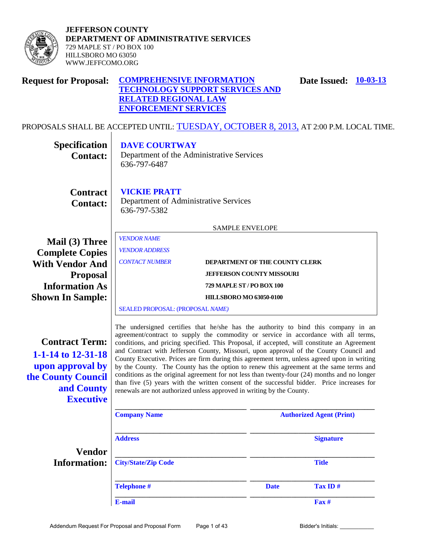

**JEFFERSON COUNTY DEPARTMENT OF ADMINISTRATIVE SERVICES**  729 MAPLE ST / PO BOX 100 HILLSBORO MO 63050 WWW.JEFFCOMO.ORG

| <b>Request for Proposal:</b> | <b>COMPREHENSIVE INFORMATION</b>       | <b>Date Issued:</b> 10-03-13 |  |
|------------------------------|----------------------------------------|------------------------------|--|
|                              | <b>TECHNOLOGY SUPPORT SERVICES AND</b> |                              |  |
|                              | <b>RELATED REGIONAL LAW</b>            |                              |  |
|                              | <b>ENFORCEMENT SERVICES</b>            |                              |  |

PROPOSALS SHALL BE ACCEPTED UNTIL: TUESDAY, OCTOBER 8, 2013, AT 2:00 P.M. LOCAL TIME.  $\overline{\phantom{a}}$ 

| Specification                                                                                                           | <b>DAVE COURTWAY</b>                                                                                                                                                                                                                                                                                                                                                                                                                                                                                                                                                                                                                                                                                                                                                                                                              |                                |             |                                 |  |
|-------------------------------------------------------------------------------------------------------------------------|-----------------------------------------------------------------------------------------------------------------------------------------------------------------------------------------------------------------------------------------------------------------------------------------------------------------------------------------------------------------------------------------------------------------------------------------------------------------------------------------------------------------------------------------------------------------------------------------------------------------------------------------------------------------------------------------------------------------------------------------------------------------------------------------------------------------------------------|--------------------------------|-------------|---------------------------------|--|
| <b>Contact:</b>                                                                                                         | Department of the Administrative Services<br>636-797-6487                                                                                                                                                                                                                                                                                                                                                                                                                                                                                                                                                                                                                                                                                                                                                                         |                                |             |                                 |  |
| <b>Contract</b><br><b>Contact:</b>                                                                                      | <b>VICKIE PRATT</b><br>Department of Administrative Services<br>636-797-5382                                                                                                                                                                                                                                                                                                                                                                                                                                                                                                                                                                                                                                                                                                                                                      |                                |             |                                 |  |
|                                                                                                                         |                                                                                                                                                                                                                                                                                                                                                                                                                                                                                                                                                                                                                                                                                                                                                                                                                                   | <b>SAMPLE ENVELOPE</b>         |             |                                 |  |
| Mail (3) Three<br><b>Complete Copies</b>                                                                                | <b>VENDOR NAME</b><br><b>VENDOR ADDRESS</b>                                                                                                                                                                                                                                                                                                                                                                                                                                                                                                                                                                                                                                                                                                                                                                                       |                                |             |                                 |  |
| <b>With Vendor And</b>                                                                                                  | <b>CONTACT NUMBER</b>                                                                                                                                                                                                                                                                                                                                                                                                                                                                                                                                                                                                                                                                                                                                                                                                             | DEPARTMENT OF THE COUNTY CLERK |             |                                 |  |
| <b>Proposal</b><br><b>Information As</b>                                                                                | <b>JEFFERSON COUNTY MISSOURI</b><br>729 MAPLE ST / PO BOX 100                                                                                                                                                                                                                                                                                                                                                                                                                                                                                                                                                                                                                                                                                                                                                                     |                                |             |                                 |  |
| <b>Shown In Sample:</b>                                                                                                 |                                                                                                                                                                                                                                                                                                                                                                                                                                                                                                                                                                                                                                                                                                                                                                                                                                   | <b>HILLSBORO MO 63050-0100</b> |             |                                 |  |
|                                                                                                                         | SEALED PROPOSAL: (PROPOSAL NAME)                                                                                                                                                                                                                                                                                                                                                                                                                                                                                                                                                                                                                                                                                                                                                                                                  |                                |             |                                 |  |
| <b>Contract Term:</b><br>1-1-14 to 12-31-18<br>upon approval by<br>the County Council<br>and County<br><b>Executive</b> | The undersigned certifies that he/she has the authority to bind this company in an<br>agreement/contract to supply the commodity or service in accordance with all terms,<br>conditions, and pricing specified. This Proposal, if accepted, will constitute an Agreement<br>and Contract with Jefferson County, Missouri, upon approval of the County Council and<br>County Executive. Prices are firm during this agreement term, unless agreed upon in writing<br>by the County. The County has the option to renew this agreement at the same terms and<br>conditions as the original agreement for not less than twenty-four (24) months and no longer<br>than five (5) years with the written consent of the successful bidder. Price increases for<br>renewals are not authorized unless approved in writing by the County. |                                |             |                                 |  |
|                                                                                                                         | <b>Company Name</b>                                                                                                                                                                                                                                                                                                                                                                                                                                                                                                                                                                                                                                                                                                                                                                                                               |                                |             | <b>Authorized Agent (Print)</b> |  |
|                                                                                                                         | <b>Address</b>                                                                                                                                                                                                                                                                                                                                                                                                                                                                                                                                                                                                                                                                                                                                                                                                                    |                                |             | <b>Signature</b>                |  |
| <b>Vendor</b><br><b>Information:</b>                                                                                    | <b>City/State/Zip Code</b>                                                                                                                                                                                                                                                                                                                                                                                                                                                                                                                                                                                                                                                                                                                                                                                                        |                                |             | <b>Title</b>                    |  |
|                                                                                                                         | <b>Telephone #</b>                                                                                                                                                                                                                                                                                                                                                                                                                                                                                                                                                                                                                                                                                                                                                                                                                |                                | <b>Date</b> | Tax ID#                         |  |
|                                                                                                                         | E-mail                                                                                                                                                                                                                                                                                                                                                                                                                                                                                                                                                                                                                                                                                                                                                                                                                            |                                |             | Fax #                           |  |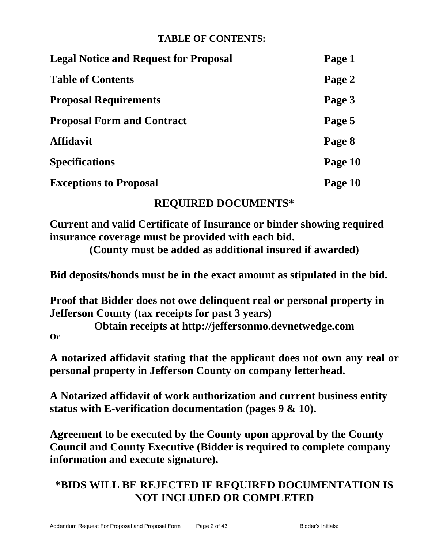# **TABLE OF CONTENTS:**

| <b>Legal Notice and Request for Proposal</b> | Page 1  |
|----------------------------------------------|---------|
| <b>Table of Contents</b>                     | Page 2  |
| <b>Proposal Requirements</b>                 | Page 3  |
| <b>Proposal Form and Contract</b>            | Page 5  |
| <b>Affidavit</b>                             | Page 8  |
| <b>Specifications</b>                        | Page 10 |
| <b>Exceptions to Proposal</b>                | Page 10 |

# **REQUIRED DOCUMENTS\***

**Current and valid Certificate of Insurance or binder showing required insurance coverage must be provided with each bid.**

**(County must be added as additional insured if awarded)**

**Bid deposits/bonds must be in the exact amount as stipulated in the bid.**

**Proof that Bidder does not owe delinquent real or personal property in Jefferson County (tax receipts for past 3 years)** 

**Obtain receipts at http://jeffersonmo.devnetwedge.com Or**

**A notarized affidavit stating that the applicant does not own any real or personal property in Jefferson County on company letterhead.**

**A Notarized affidavit of work authorization and current business entity status with E-verification documentation (pages 9 & 10).**

**Agreement to be executed by the County upon approval by the County Council and County Executive (Bidder is required to complete company information and execute signature).**

# **\*BIDS WILL BE REJECTED IF REQUIRED DOCUMENTATION IS NOT INCLUDED OR COMPLETED**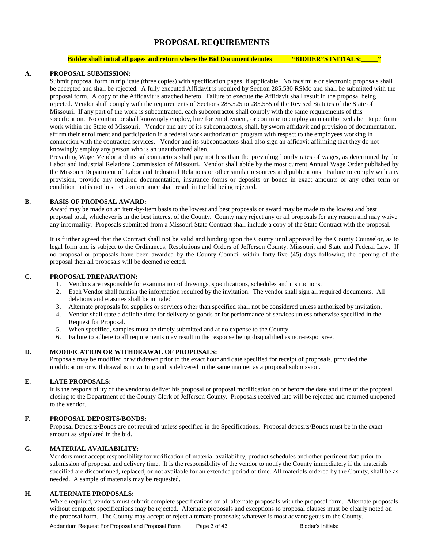# **PROPOSAL REQUIREMENTS**

#### **Bidder shall initial all pages and return where the Bid Document denotes <b>"BIDDER"S INITIALS:**

#### **A. PROPOSAL SUBMISSION:**

Submit proposal form in triplicate (three copies) with specification pages, if applicable. No facsimile or electronic proposals shall be accepted and shall be rejected. A fully executed Affidavit is required by Section 285.530 RSMo and shall be submitted with the proposal form. A copy of the Affidavit is attached hereto. Failure to execute the Affidavit shall result in the proposal being rejected. Vendor shall comply with the requirements of Sections 285.525 to 285.555 of the Revised Statutes of the State of Missouri. If any part of the work is subcontracted, each subcontractor shall comply with the same requirements of this specification. No contractor shall knowingly employ, hire for employment, or continue to employ an unauthorized alien to perform work within the State of Missouri. Vendor and any of its subcontractors, shall, by sworn affidavit and provision of documentation, affirm their enrollment and participation in a federal work authorization program with respect to the employees working in connection with the contracted services. Vendor and its subcontractors shall also sign an affidavit affirming that they do not knowingly employ any person who is an unauthorized alien.

Prevailing Wage Vendor and its subcontractors shall pay not less than the prevailing hourly rates of wages, as determined by the Labor and Industrial Relations Commission of Missouri. Vendor shall abide by the most current Annual Wage Order published by the Missouri Department of Labor and Industrial Relations or other similar resources and publications. Failure to comply with any provision, provide any required documentation, insurance forms or deposits or bonds in exact amounts or any other term or condition that is not in strict conformance shall result in the bid being rejected.

#### **B. BASIS OF PROPOSAL AWARD:**

Award may be made on an item-by-item basis to the lowest and best proposals or award may be made to the lowest and best proposal total, whichever is in the best interest of the County. County may reject any or all proposals for any reason and may waive any informality. Proposals submitted from a Missouri State Contract shall include a copy of the State Contract with the proposal.

It is further agreed that the Contract shall not be valid and binding upon the County until approved by the County Counselor, as to legal form and is subject to the Ordinances, Resolutions and Orders of Jefferson County, Missouri, and State and Federal Law. If no proposal or proposals have been awarded by the County Council within forty-five (45) days following the opening of the proposal then all proposals will be deemed rejected.

#### **C. PROPOSAL PREPARATION:**

- 1. Vendors are responsible for examination of drawings, specifications, schedules and instructions.
- 2. Each Vendor shall furnish the information required by the invitation. The vendor shall sign all required documents. All deletions and erasures shall be initialed
- 3. Alternate proposals for supplies or services other than specified shall not be considered unless authorized by invitation.
- 4. Vendor shall state a definite time for delivery of goods or for performance of services unless otherwise specified in the Request for Proposal.
- 5. When specified, samples must be timely submitted and at no expense to the County.
- 6. Failure to adhere to all requirements may result in the response being disqualified as non-responsive.

## **D. MODIFICATION OR WITHDRAWAL OF PROPOSALS:**

Proposals may be modified or withdrawn prior to the exact hour and date specified for receipt of proposals, provided the modification or withdrawal is in writing and is delivered in the same manner as a proposal submission.

#### **E. LATE PROPOSALS:**

It is the responsibility of the vendor to deliver his proposal or proposal modification on or before the date and time of the proposal closing to the Department of the County Clerk of Jefferson County. Proposals received late will be rejected and returned unopened to the vendor.

## **F. PROPOSAL DEPOSITS/BONDS:**

Proposal Deposits/Bonds are not required unless specified in the Specifications. Proposal deposits/Bonds must be in the exact amount as stipulated in the bid.

#### **G. MATERIAL AVAILABILITY:**

Vendors must accept responsibility for verification of material availability, product schedules and other pertinent data prior to submission of proposal and delivery time. It is the responsibility of the vendor to notify the County immediately if the materials specified are discontinued, replaced, or not available for an extended period of time. All materials ordered by the County, shall be as needed. A sample of materials may be requested.

## **H. ALTERNATE PROPOSALS:**

Where required, vendors must submit complete specifications on all alternate proposals with the proposal form. Alternate proposals without complete specifications may be rejected. Alternate proposals and exceptions to proposal clauses must be clearly noted on the proposal form. The County may accept or reject alternate proposals; whatever is most advantageous to the County.

Addendum Request For Proposal and Proposal Form Page 3 of 43 Bidder's Initials: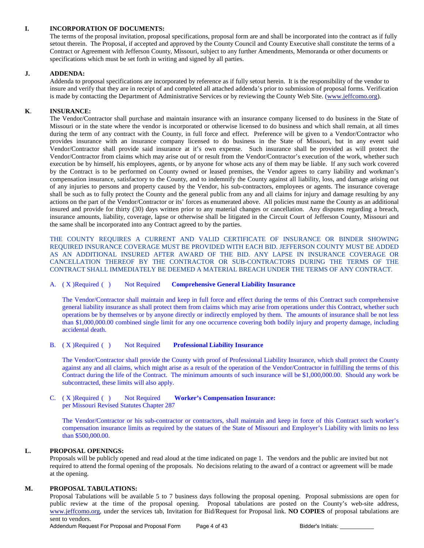## **I. INCORPORATION OF DOCUMENTS:**

 The terms of the proposal invitation, proposal specifications, proposal form are and shall be incorporated into the contract as if fully setout therein.The Proposal, if accepted and approved by the County Council and County Executive shall constitute the terms of a Contract or Agreement with Jefferson County, Missouri, subject to any further Amendments, Memoranda or other documents or specifications which must be set forth in writing and signed by all parties.

#### **J. ADDENDA:**

Addenda to proposal specifications are incorporated by reference as if fully setout herein. It is the responsibility of the vendor to insure and verify that they are in receipt of and completed all attached addenda's prior to submission of proposal forms. Verification is made by contacting the Department of Administrative Services or by reviewing the County Web Site. [\(www.jeffcomo.org\)](http://www.jeffcomo.org/).

## **K**. **INSURANCE:**

 The Vendor/Contractor shall purchase and maintain insurance with an insurance company licensed to do business in the State of Missouri or in the state where the vendor is incorporated or otherwise licensed to do business and which shall remain, at all times during the term of any contract with the County, in full force and effect. Preference will be given to a Vendor/Contractor who provides insurance with an insurance company licensed to do business in the State of Missouri, but in any event said Vendor/Contractor shall provide said insurance at it's own expense. Such insurance shall be provided as will protect the Vendor/Contractor from claims which may arise out of or result from the Vendor/Contractor's execution of the work, whether such execution be by himself, his employees, agents, or by anyone for whose acts any of them may be liable. If any such work covered by the Contract is to be performed on County owned or leased premises, the Vendor agrees to carry liability and workman's compensation insurance, satisfactory to the County, and to indemnify the County against all liability, loss, and damage arising out of any injuries to persons and property caused by the Vendor, his sub-contractors, employees or agents. The insurance coverage shall be such as to fully protect the County and the general public from any and all claims for injury and damage resulting by any actions on the part of the Vendor/Contractor or its' forces as enumerated above. All policies must name the County as an additional insured and provide for thirty (30) days written prior to any material changes or cancellation. Any disputes regarding a breach, insurance amounts, liability, coverage, lapse or otherwise shall be litigated in the Circuit Court of Jefferson County, Missouri and the same shall be incorporated into any Contract agreed to by the parties.

 THE COUNTY REQUIRES A CURRENT AND VALID CERTIFICATE OF INSURANCE OR BINDER SHOWING REQUIRED INSURANCE COVERAGE MUST BE PROVIDED WITH EACH BID. JEFFERSON COUNTY MUST BE ADDED AS AN ADDITIONAL INSURED AFTER AWARD OF THE BID. ANY LAPSE IN INSURANCE COVERAGE OR CANCELLATION THEREOF BY THE CONTRACTOR OR SUB-CONTRACTORS DURING THE TERMS OF THE CONTRACT SHALL IMMEDIATELY BE DEEMED A MATERIAL BREACH UNDER THE TERMS OF ANY CONTRACT.

#### A. ( X )Required ( ) Not Required **Comprehensive General Liability Insurance**

The Vendor/Contractor shall maintain and keep in full force and effect during the terms of this Contract such comprehensive general liability insurance as shall protect them from claims which may arise from operations under this Contract, whether such operations be by themselves or by anyone directly or indirectly employed by them. The amounts of insurance shall be not less than \$1,000,000.00 combined single limit for any one occurrence covering both bodily injury and property damage, including accidental death.

#### B. ( X )Required ( ) Not Required **Professional Liability Insurance**

The Vendor/Contractor shall provide the County with proof of Professional Liability Insurance, which shall protect the County against any and all claims, which might arise as a result of the operation of the Vendor/Contractor in fulfilling the terms of this Contract during the life of the Contract. The minimum amounts of such insurance will be \$1,000,000.00. Should any work be subcontracted, these limits will also apply.

#### C. ( X )Required ( ) Not Required **Worker's Compensation Insurance:**  per Missouri Revised Statutes Chapter 287

The Vendor/Contractor or his sub-contractor or contractors, shall maintain and keep in force of this Contract such worker's compensation insurance limits as required by the statues of the State of Missouri and Employer's Liability with limits no less than \$500,000.00.

# **L. PROPOSAL OPENINGS:**

Proposals will be publicly opened and read aloud at the time indicated on page 1. The vendors and the public are invited but not required to attend the formal opening of the proposals. No decisions relating to the award of a contract or agreement will be made at the opening.

#### **M. PROPOSAL TABULATIONS:**

Proposal Tabulations will be available 5 to 7 business days following the proposal opening. Proposal submissions are open for public review at the time of the proposal opening. Proposal tabulations are posted on the County's web-site address, [www.jeffcomo.org,](http://www.jeffcomo.org/) under the services tab, Invitation for Bid/Request for Proposal link. **NO COPIES** of proposal tabulations are sent to vendors.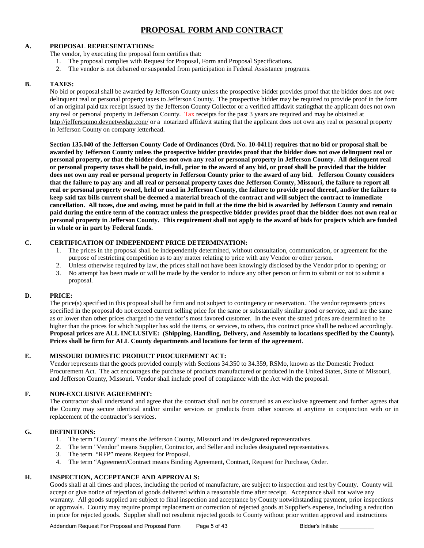# **PROPOSAL FORM AND CONTRACT**

# **A. PROPOSAL REPRESENTATIONS:**

The vendor, by executing the proposal form certifies that:

- 1. The proposal complies with Request for Proposal, Form and Proposal Specifications.
- 2. The vendor is not debarred or suspended from participation in Federal Assistance programs.

## **B. TAXES:**

No bid or proposal shall be awarded by Jefferson County unless the prospective bidder provides proof that the bidder does not owe delinquent real or personal property taxes to Jefferson County. The prospective bidder may be required to provide proof in the form of an original paid tax receipt issued by the Jefferson County Collector or a verified affidavit statingthat the applicant does not own any real or personal property in Jefferson County. Tax receipts for the past 3 years are required and may be obtained at <http://jeffersonmo.devnetwedge.com/> or a notarized affidavit stating that the applicant does not own any real or personal property in Jefferson County on company letterhead.

**Section 135.040 of the Jefferson County Code of Ordinances (Ord. No. 10-0411) requires that no bid or proposal shall be awarded by Jefferson County unless the prospective bidder provides proof that the bidder does not owe delinquent real or personal property, or that the bidder does not own any real or personal property in Jefferson County. All delinquent real or personal property taxes shall be paid, in-full, prior to the award of any bid, or proof shall be provided that the bidder does not own any real or personal property in Jefferson County prior to the award of any bid. Jefferson County considers that the failure to pay any and all real or personal property taxes due Jefferson County, Missouri, the failure to report all real or personal property owned, held or used in Jefferson County, the failure to provide proof thereof, and/or the failure to keep said tax bills current shall be deemed a material breach of the contract and will subject the contract to immediate cancellation. All taxes, due and owing, must be paid in full at the time the bid is awarded by Jefferson County and remain paid during the entire term of the contract unless the prospective bidder provides proof that the bidder does not own real or personal property in Jefferson County. This requirement shall not apply to the award of bids for projects which are funded in whole or in part by Federal funds.**

## **C. CERTIFICATION OF INDEPENDENT PRICE DETERMINATION:**

- 1. The prices in the proposal shall be independently determined, without consultation, communication, or agreement for the purpose of restricting competition as to any matter relating to price with any Vendor or other person.
- 2. Unless otherwise required by law, the prices shall not have been knowingly disclosed by the Vendor prior to opening; or
- 3. No attempt has been made or will be made by the vendor to induce any other person or firm to submit or not to submit a proposal.

## **D. PRICE:**

The price(s) specified in this proposal shall be firm and not subject to contingency or reservation. The vendor represents prices specified in the proposal do not exceed current selling price for the same or substantially similar good or service, and are the same as or lower than other prices charged to the vendor's most favored customer. In the event the stated prices are determined to be higher than the prices for which Supplier has sold the items, or services, to others, this contract price shall be reduced accordingly. **Proposal prices are ALL INCLUSIVE: (Shipping, Handling, Delivery, and Assembly to locations specified by the County). Prices shall be firm for ALL County departments and locations for term of the agreement**.

## **E. MISSOURI DOMESTIC PRODUCT PROCUREMENT ACT:**

Vendor represents that the goods provided comply with Sections 34.350 to 34.359, RSMo, known as the Domestic Product Procurement Act. The act encourages the purchase of products manufactured or produced in the United States, State of Missouri, and Jefferson County, Missouri. Vendor shall include proof of compliance with the Act with the proposal.

## **F. NON-EXCLUSIVE AGREEMENT:**

The contractor shall understand and agree that the contract shall not be construed as an exclusive agreement and further agrees that the County may secure identical and/or similar services or products from other sources at anytime in conjunction with or in replacement of the contractor's services.

## **G. DEFINITIONS:**

- 1. The term "County" means the Jefferson County, Missouri and its designated representatives.<br>2. The term "Vendor" means Sunnlier. Contractor. and Seller and includes designated represent
- 2. The term "Vendor" means Supplier, Contractor, and Seller and includes designated representatives.
- 3. The term "RFP" means Request for Proposal.
- 4. The term "Agreement/Contract means Binding Agreement, Contract, Request for Purchase, Order.

## **H. INSPECTION, ACCEPTANCE AND APPROVALS:**

Goods shall at all times and places, including the period of manufacture, are subject to inspection and test by County. County will accept or give notice of rejection of goods delivered within a reasonable time after receipt. Acceptance shall not waive any warranty. All goods supplied are subject to final inspection and acceptance by County notwithstanding payment, prior inspections or approvals. County may require prompt replacement or correction of rejected goods at Supplier's expense, including a reduction in price for rejected goods. Supplier shall not resubmit rejected goods to County without prior written approval and instructions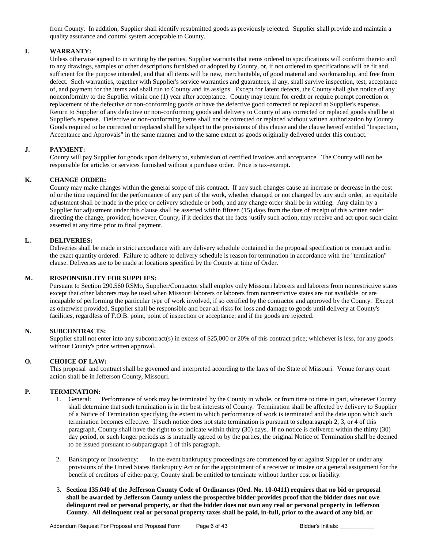from County. In addition, Supplier shall identify resubmitted goods as previously rejected. Supplier shall provide and maintain a quality assurance and control system acceptable to County.

### **I. WARRANTY:**

Unless otherwise agreed to in writing by the parties, Supplier warrants that items ordered to specifications will conform thereto and to any drawings, samples or other descriptions furnished or adopted by County, or, if not ordered to specifications will be fit and sufficient for the purpose intended, and that all items will be new, merchantable, of good material and workmanship, and free from defect. Such warranties, together with Supplier's service warranties and guarantees, if any, shall survive inspection, test, acceptance of, and payment for the items and shall run to County and its assigns. Except for latent defects, the County shall give notice of any nonconformity to the Supplier within one (1) year after acceptance. County may return for credit or require prompt correction or replacement of the defective or non-conforming goods or have the defective good corrected or replaced at Supplier's expense. Return to Supplier of any defective or non-conforming goods and delivery to County of any corrected or replaced goods shall be at Supplier's expense. Defective or non-conforming items shall not be corrected or replaced without written authorization by County. Goods required to be corrected or replaced shall be subject to the provisions of this clause and the clause hereof entitled "Inspection, Acceptance and Approvals" in the same manner and to the same extent as goods originally delivered under this contract.

#### **J. PAYMENT:**

County will pay Supplier for goods upon delivery to, submission of certified invoices and acceptance. The County will not be responsible for articles or services furnished without a purchase order. Price is tax-exempt.

#### **K. CHANGE ORDER:**

County may make changes within the general scope of this contract. If any such changes cause an increase or decrease in the cost of or the time required for the performance of any part of the work, whether changed or not changed by any such order, an equitable adjustment shall be made in the price or delivery schedule or both, and any change order shall be in writing. Any claim by a Supplier for adjustment under this clause shall be asserted within fifteen (15) days from the date of receipt of this written order directing the change, provided, however, County, if it decides that the facts justify such action, may receive and act upon such claim asserted at any time prior to final payment.

#### **L. DELIVERIES:**

Deliveries shall be made in strict accordance with any delivery schedule contained in the proposal specification or contract and in the exact quantity ordered. Failure to adhere to delivery schedule is reason for termination in accordance with the "termination" clause. Deliveries are to be made at locations specified by the County at time of Order.

#### **M. RESPONSIBILITY FOR SUPPLIES:**

Pursuant to Section 290.560 RSMo, Supplier/Contractor shall employ only Missouri laborers and laborers from nonrestrictive states except that other laborers may be used when Missouri laborers or laborers from nonrestrictive states are not available, or are incapable of performing the particular type of work involved, if so certified by the contractor and approved by the County. Except as otherwise provided, Supplier shall be responsible and bear all risks for loss and damage to goods until delivery at County's facilities, regardless of F.O.B. point, point of inspection or acceptance; and if the goods are rejected.

#### **N. SUBCONTRACTS:**

Supplier shall not enter into any subcontract(s) in excess of \$25,000 or 20% of this contract price; whichever is less, for any goods without County's prior written approval.

#### **O. CHOICE OF LAW:**

This proposal and contract shall be governed and interpreted according to the laws of the State of Missouri. Venue for any court action shall be in Jefferson County, Missouri.

# **P. TERMINATION:**<br>1. General:

- Performance of work may be terminated by the County in whole, or from time to time in part, whenever County shall determine that such termination is in the best interests of County. Termination shall be affected by delivery to Supplier of a Notice of Termination specifying the extent to which performance of work is terminated and the date upon which such termination becomes effective. If such notice does not state termination is pursuant to subparagraph 2, 3, or 4 of this paragraph, County shall have the right to so indicate within thirty (30) days. If no notice is delivered within the thirty (30) day period, or such longer periods as is mutually agreed to by the parties, the original Notice of Termination shall be deemed to be issued pursuant to subparagraph 1 of this paragraph.
- 2. Bankruptcy or Insolvency: In the event bankruptcy proceedings are commenced by or against Supplier or under any provisions of the United States Bankruptcy Act or for the appointment of a receiver or trustee or a general assignment for the benefit of creditors of either party, County shall be entitled to terminate without further cost or liability.
- 3. **Section 135.040 of the Jefferson County Code of Ordinances (Ord. No. 10-0411) requires that no bid or proposal shall be awarded by Jefferson County unless the prospective bidder provides proof that the bidder does not owe delinquent real or personal property, or that the bidder does not own any real or personal property in Jefferson County. All delinquent real or personal property taxes shall be paid, in-full, prior to the award of any bid, or**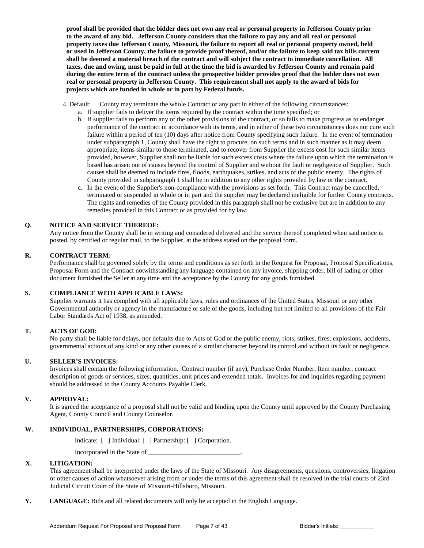**proof shall be provided that the bidder does not own any real or personal property in Jefferson County prior to the award of any bid. Jefferson County considers that the failure to pay any and all real or personal property taxes due Jefferson County, Missouri, the failure to report all real or personal property owned, held or used in Jefferson County, the failure to provide proof thereof, and/or the failure to keep said tax bills current shall be deemed a material breach of the contract and will subject the contract to immediate cancellation. All taxes, due and owing, must be paid in full at the time the bid is awarded by Jefferson County and remain paid during the entire term of the contract unless the prospective bidder provides proof that the bidder does not own real or personal property in Jefferson County. This requirement shall not apply to the award of bids for projects which are funded in whole or in part by Federal funds.**

- 4. Default: County may terminate the whole Contract or any part in either of the following circumstances:
	- a. If supplier fails to deliver the items required by the contract within the time specified; or
		- b. If supplier fails to perform any of the other provisions of the contract, or so fails to make progress as to endanger performance of the contract in accordance with its terms, and in either of these two circumstances does not cure such failure within a period of ten (10) days after notice from County specifying such failure. In the event of termination under subparagraph 1, County shall have the right to procure, on such terms and in such manner as it may deem appropriate, items similar to those terminated, and to recover from Supplier the excess cost for such similar items provided, however, Supplier shall not be liable for such excess costs where the failure upon which the termination is based has arisen out of causes beyond the control of Supplier and without the fault or negligence of Supplier. Such causes shall be deemed to include fires, floods, earthquakes, strikes, and acts of the public enemy. The rights of County provided in subparagraph 1 shall be in addition to any other rights provided by law or the contract.
		- c. In the event of the Supplier's non-compliance with the provisions as set forth. This Contract may be cancelled, terminated or suspended in whole or in part and the supplier may be declared ineligible for further County contracts. The rights and remedies of the County provided in this paragraph shall not be exclusive but are in addition to any remedies provided in this Contract or as provided for by law.

#### **Q. NOTICE AND SERVICE THEREOF:**

Any notice from the County shall be in writing and considered delivered and the service thereof completed when said notice is posted, by certified or regular mail, to the Supplier, at the address stated on the proposal form.

#### **R. CONTRACT TERM:**

Performance shall be governed solely by the terms and conditions as set forth in the Request for Proposal, Proposal Specifications, Proposal Form and the Contract notwithstanding any language contained on any invoice, shipping order, bill of lading or other document furnished the Seller at any time and the acceptance by the County for any goods furnished.

#### **S. COMPLIANCE WITH APPLICABLE LAWS:**

Supplier warrants it has complied with all applicable laws, rules and ordinances of the United States, Missouri or any other Governmental authority or agency in the manufacture or sale of the goods, including but not limited to all provisions of the Fair Labor Standards Act of 1938, as amended.

#### **T. ACTS OF GOD:**

No party shall be liable for delays, nor defaults due to Acts of God or the public enemy, riots, strikes, fires, explosions, accidents, governmental actions of any kind or any other causes of a similar character beyond its control and without its fault or negligence.

#### **U. SELLER'S INVOICES:**

Invoices shall contain the following information. Contract number (if any), Purchase Order Number, Item number, contract description of goods or services, sizes, quantities, unit prices and extended totals. Invoices for and inquiries regarding payment should be addressed to the County Accounts Payable Clerk.

#### **V. APPROVAL:**

It is agreed the acceptance of a proposal shall not be valid and binding upon the County until approved by the County Purchasing Agent, County Council and County Counselor.

#### **W. INDIVIDUAL, PARTNERSHIPS, CORPORATIONS:**

Indicate: [ ] Individual: [ ] Partnership: [ ] Corporation.

Incorporated in the State of \_\_\_\_\_\_\_\_\_\_\_\_\_\_\_\_\_\_\_\_\_\_\_\_\_\_\_\_.

#### **X. LITIGATION:**

This agreement shall be interpreted under the laws of the State of Missouri. Any disagreements, questions, controversies, litigation or other causes of action whatsoever arising from or under the terms of this agreement shall be resolved in the trial courts of 23rd Judicial Circuit Court of the State of Missouri-Hillsboro, Missouri.

**Y. LANGUAGE:** Bids and all related documents will only be accepted in the English Language.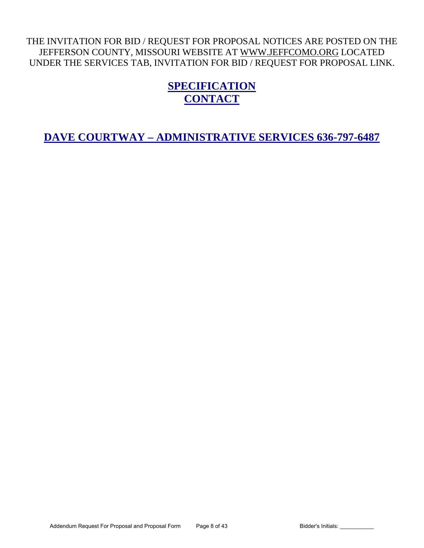# THE INVITATION FOR BID / REQUEST FOR PROPOSAL NOTICES ARE POSTED ON THE JEFFERSON COUNTY, MISSOURI WEBSITE AT [WWW.JEFFCOMO.ORG](http://www.jeffcomo.org/) LOCATED UNDER THE SERVICES TAB, INVITATION FOR BID / REQUEST FOR PROPOSAL LINK.

# **SPECIFICATION CONTACT**

**DAVE COURTWAY – ADMINISTRATIVE SERVICES 636-797-6487**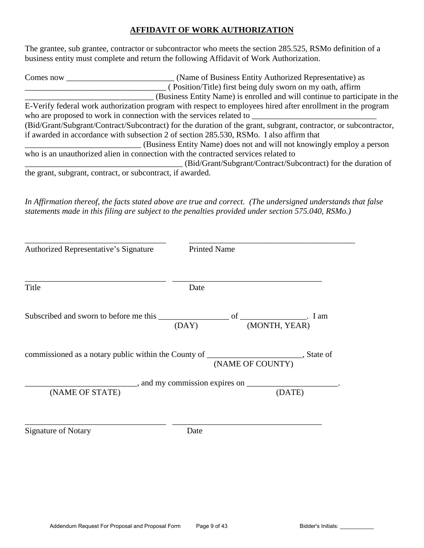# **AFFIDAVIT OF WORK AUTHORIZATION**

The grantee, sub grantee, contractor or subcontractor who meets the section 285.525, RSMo definition of a business entity must complete and return the following Affidavit of Work Authorization.

| Comes now | (Name of Business Entity Authorized Representative) as                                                           |
|-----------|------------------------------------------------------------------------------------------------------------------|
|           | (Position/Title) first being duly sworn on my oath, affirm                                                       |
|           | (Business Entity Name) is enrolled and will continue to participate in the                                       |
|           | E-Verify federal work authorization program with respect to employees hired after enrollment in the program      |
|           | who are proposed to work in connection with the services related to                                              |
|           | (Bid/Grant/Subgrant/Contract/Subcontract) for the duration of the grant, subgrant, contractor, or subcontractor, |
|           | if awarded in accordance with subsection 2 of section 285.530, RSMo. I also affirm that                          |
|           | (Business Entity Name) does not and will not knowingly employ a person                                           |
|           | who is an unauthorized alien in connection with the contracted services related to                               |
|           | (Bid/Grant/Subgrant/Contract/Subcontract) for the duration of                                                    |
|           | the grant, subgrant, contract, or subcontract, if awarded.                                                       |

*In Affirmation thereof, the facts stated above are true and correct. (The undersigned understands that false statements made in this filing are subject to the penalties provided under section 575.040, RSMo.)* 

| Authorized Representative's Signature                                                     | <b>Printed Name</b> |                  |               |
|-------------------------------------------------------------------------------------------|---------------------|------------------|---------------|
| Title                                                                                     | Date                |                  |               |
|                                                                                           | (DAY)               |                  | (MONTH, YEAR) |
| commissioned as a notary public within the County of __________________________, State of |                     | (NAME OF COUNTY) |               |
| (NAME OF STATE)                                                                           |                     |                  | (DATE)        |
| <b>Signature of Notary</b>                                                                | Date                |                  |               |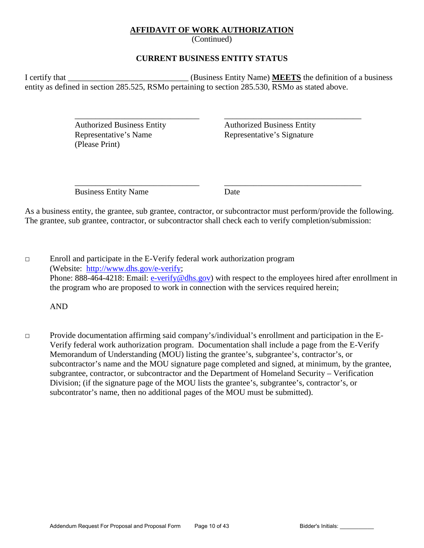# **AFFIDAVIT OF WORK AUTHORIZATION**

(Continued)

# **CURRENT BUSINESS ENTITY STATUS**

I certify that \_\_\_\_\_\_\_\_\_\_\_\_\_\_\_\_\_\_\_\_\_\_\_\_\_\_\_\_\_ (Business Entity Name) **MEETS** the definition of a business entity as defined in section 285.525, RSMo pertaining to section 285.530, RSMo as stated above.

> Representative's Name Representative's Signature (Please Print)

 $\overline{\phantom{a}}$  ,  $\overline{\phantom{a}}$  ,  $\overline{\phantom{a}}$  ,  $\overline{\phantom{a}}$  ,  $\overline{\phantom{a}}$  ,  $\overline{\phantom{a}}$  ,  $\overline{\phantom{a}}$  ,  $\overline{\phantom{a}}$  ,  $\overline{\phantom{a}}$  ,  $\overline{\phantom{a}}$  ,  $\overline{\phantom{a}}$  ,  $\overline{\phantom{a}}$  ,  $\overline{\phantom{a}}$  ,  $\overline{\phantom{a}}$  ,  $\overline{\phantom{a}}$  ,  $\overline{\phantom{a}}$ Authorized Business Entity Authorized Business Entity

Business Entity Name Date

 $\overline{\phantom{a}}$  ,  $\overline{\phantom{a}}$  ,  $\overline{\phantom{a}}$  ,  $\overline{\phantom{a}}$  ,  $\overline{\phantom{a}}$  ,  $\overline{\phantom{a}}$  ,  $\overline{\phantom{a}}$  ,  $\overline{\phantom{a}}$  ,  $\overline{\phantom{a}}$  ,  $\overline{\phantom{a}}$  ,  $\overline{\phantom{a}}$  ,  $\overline{\phantom{a}}$  ,  $\overline{\phantom{a}}$  ,  $\overline{\phantom{a}}$  ,  $\overline{\phantom{a}}$  ,  $\overline{\phantom{a}}$ 

As a business entity, the grantee, sub grantee, contractor, or subcontractor must perform/provide the following. The grantee, sub grantee, contractor, or subcontractor shall check each to verify completion/submission:

□ Enroll and participate in the E-Verify federal work authorization program (Website: [http://www.dhs.gov/e-verify;](http://www.dhs.gov/e-verify) Phone: 888-464-4218: Email: [e-verify@dhs.gov\)](mailto:e-verify@dhs.gov) with respect to the employees hired after enrollment in the program who are proposed to work in connection with the services required herein;

AND

□ Provide documentation affirming said company's/individual's enrollment and participation in the E-Verify federal work authorization program. Documentation shall include a page from the E-Verify Memorandum of Understanding (MOU) listing the grantee's, subgrantee's, contractor's, or subcontractor's name and the MOU signature page completed and signed, at minimum, by the grantee, subgrantee, contractor, or subcontractor and the Department of Homeland Security – Verification Division; (if the signature page of the MOU lists the grantee's, subgrantee's, contractor's, or subcontrator's name, then no additional pages of the MOU must be submitted).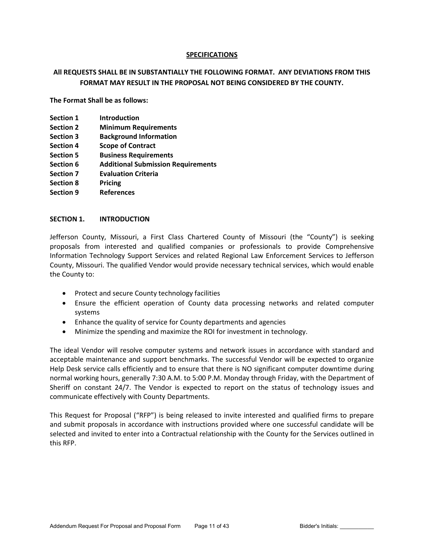# **SPECIFICATIONS**

# **All REQUESTS SHALL BE IN SUBSTANTIALLY THE FOLLOWING FORMAT. ANY DEVIATIONS FROM THIS FORMAT MAY RESULT IN THE PROPOSAL NOT BEING CONSIDERED BY THE COUNTY.**

**The Format Shall be as follows:** 

- **Section 1** Introduction
- **Section 2 Minimum Requirements**
- **Section 3 Background Information**
- **Section 4 Scope of Contract**
- **Section 5 Business Requirements**
- **Section 6 Additional Submission Requirements**
- **Section 7 Evaluation Criteria**
- **Section 8 Pricing**
- **Section 9 References**

# **SECTION 1. INTRODUCTION**

Jefferson County, Missouri, a First Class Chartered County of Missouri (the "County") is seeking proposals from interested and qualified companies or professionals to provide Comprehensive Information Technology Support Services and related Regional Law Enforcement Services to Jefferson County, Missouri. The qualified Vendor would provide necessary technical services, which would enable the County to:

- Protect and secure County technology facilities
- Ensure the efficient operation of County data processing networks and related computer systems
- Enhance the quality of service for County departments and agencies
- Minimize the spending and maximize the ROI for investment in technology.

The ideal Vendor will resolve computer systems and network issues in accordance with standard and acceptable maintenance and support benchmarks. The successful Vendor will be expected to organize Help Desk service calls efficiently and to ensure that there is NO significant computer downtime during normal working hours, generally 7:30 A.M. to 5:00 P.M. Monday through Friday, with the Department of Sheriff on constant 24/7. The Vendor is expected to report on the status of technology issues and communicate effectively with County Departments.

This Request for Proposal ("RFP") is being released to invite interested and qualified firms to prepare and submit proposals in accordance with instructions provided where one successful candidate will be selected and invited to enter into a Contractual relationship with the County for the Services outlined in this RFP.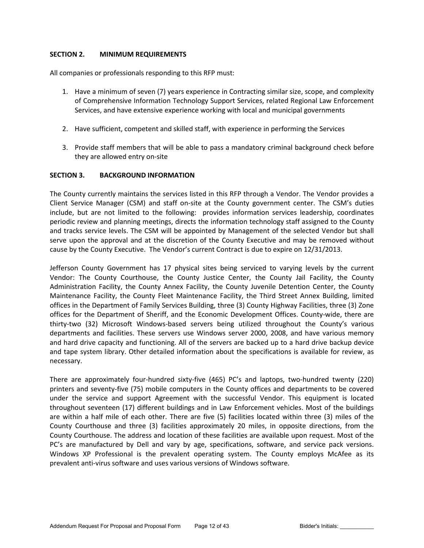# **SECTION 2. MINIMUM REQUIREMENTS**

All companies or professionals responding to this RFP must:

- 1. Have a minimum of seven (7) years experience in Contracting similar size, scope, and complexity of Comprehensive Information Technology Support Services, related Regional Law Enforcement Services, and have extensive experience working with local and municipal governments
- 2. Have sufficient, competent and skilled staff, with experience in performing the Services
- 3. Provide staff members that will be able to pass a mandatory criminal background check before they are allowed entry on-site

# **SECTION 3. BACKGROUND INFORMATION**

The County currently maintains the services listed in this RFP through a Vendor. The Vendor provides a Client Service Manager (CSM) and staff on-site at the County government center. The CSM's duties include, but are not limited to the following: provides information services leadership, coordinates periodic review and planning meetings, directs the information technology staff assigned to the County and tracks service levels. The CSM will be appointed by Management of the selected Vendor but shall serve upon the approval and at the discretion of the County Executive and may be removed without cause by the County Executive. The Vendor's current Contract is due to expire on 12/31/2013.

Jefferson County Government has 17 physical sites being serviced to varying levels by the current Vendor: The County Courthouse, the County Justice Center, the County Jail Facility, the County Administration Facility, the County Annex Facility, the County Juvenile Detention Center, the County Maintenance Facility, the County Fleet Maintenance Facility, the Third Street Annex Building, limited offices in the Department of Family Services Building, three (3) County Highway Facilities, three (3) Zone offices for the Department of Sheriff, and the Economic Development Offices. County-wide, there are thirty-two (32) Microsoft Windows-based servers being utilized throughout the County's various departments and facilities. These servers use Windows server 2000, 2008, and have various memory and hard drive capacity and functioning. All of the servers are backed up to a hard drive backup device and tape system library. Other detailed information about the specifications is available for review, as necessary.

There are approximately four-hundred sixty-five (465) PC's and laptops, two-hundred twenty (220) printers and seventy-five (75) mobile computers in the County offices and departments to be covered under the service and support Agreement with the successful Vendor. This equipment is located throughout seventeen (17) different buildings and in Law Enforcement vehicles. Most of the buildings are within a half mile of each other. There are five (5) facilities located within three (3) miles of the County Courthouse and three (3) facilities approximately 20 miles, in opposite directions, from the County Courthouse. The address and location of these facilities are available upon request. Most of the PC's are manufactured by Dell and vary by age, specifications, software, and service pack versions. Windows XP Professional is the prevalent operating system. The County employs McAfee as its prevalent anti-virus software and uses various versions of Windows software.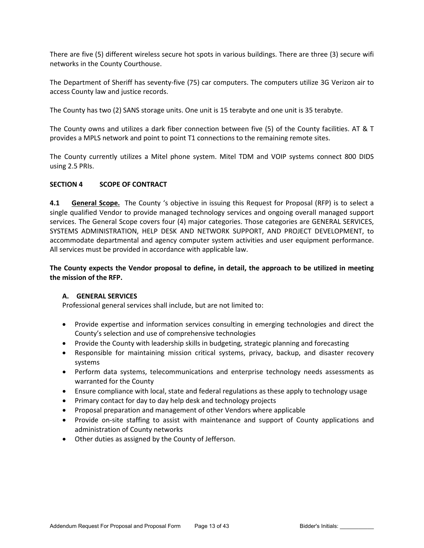There are five (5) different wireless secure hot spots in various buildings. There are three (3) secure wifi networks in the County Courthouse.

The Department of Sheriff has seventy-five (75) car computers. The computers utilize 3G Verizon air to access County law and justice records.

The County has two (2) SANS storage units. One unit is 15 terabyte and one unit is 35 terabyte.

The County owns and utilizes a dark fiber connection between five (5) of the County facilities. AT & T provides a MPLS network and point to point T1 connections to the remaining remote sites.

The County currently utilizes a Mitel phone system. Mitel TDM and VOIP systems connect 800 DIDS using 2.5 PRIs.

# **SECTION 4 SCOPE OF CONTRACT**

**4.1 General Scope.** The County 's objective in issuing this Request for Proposal (RFP) is to select a single qualified Vendor to provide managed technology services and ongoing overall managed support services. The General Scope covers four (4) major categories. Those categories are GENERAL SERVICES, SYSTEMS ADMINISTRATION, HELP DESK AND NETWORK SUPPORT, AND PROJECT DEVELOPMENT, to accommodate departmental and agency computer system activities and user equipment performance. All services must be provided in accordance with applicable law.

**The County expects the Vendor proposal to define, in detail, the approach to be utilized in meeting the mission of the RFP.** 

# **A. GENERAL SERVICES**

Professional general services shall include, but are not limited to:

- Provide expertise and information services consulting in emerging technologies and direct the County's selection and use of comprehensive technologies
- Provide the County with leadership skills in budgeting, strategic planning and forecasting
- Responsible for maintaining mission critical systems, privacy, backup, and disaster recovery systems
- Perform data systems, telecommunications and enterprise technology needs assessments as warranted for the County
- Ensure compliance with local, state and federal regulations as these apply to technology usage
- Primary contact for day to day help desk and technology projects
- Proposal preparation and management of other Vendors where applicable
- Provide on-site staffing to assist with maintenance and support of County applications and administration of County networks
- Other duties as assigned by the County of Jefferson.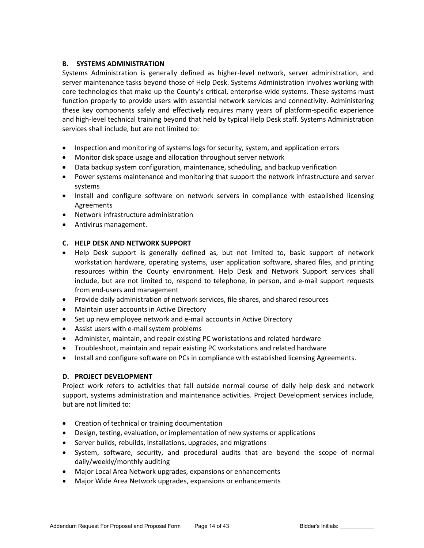# **B. SYSTEMS ADMINISTRATION**

Systems Administration is generally defined as higher-level network, server administration, and server maintenance tasks beyond those of Help Desk. Systems Administration involves working with core technologies that make up the County's critical, enterprise-wide systems. These systems must function properly to provide users with essential network services and connectivity. Administering these key components safely and effectively requires many years of platform-specific experience and high-level technical training beyond that held by typical Help Desk staff. Systems Administration services shall include, but are not limited to:

- Inspection and monitoring of systems logs for security, system, and application errors
- Monitor disk space usage and allocation throughout server network
- Data backup system configuration, maintenance, scheduling, and backup verification
- Power systems maintenance and monitoring that support the network infrastructure and server systems
- Install and configure software on network servers in compliance with established licensing Agreements
- Network infrastructure administration
- Antivirus management.

# **C. HELP DESK AND NETWORK SUPPORT**

- Help Desk support is generally defined as, but not limited to, basic support of network workstation hardware, operating systems, user application software, shared files, and printing resources within the County environment. Help Desk and Network Support services shall include, but are not limited to, respond to telephone, in person, and e-mail support requests from end-users and management
- Provide daily administration of network services, file shares, and shared resources
- Maintain user accounts in Active Directory
- Set up new employee network and e-mail accounts in Active Directory
- Assist users with e-mail system problems
- Administer, maintain, and repair existing PC workstations and related hardware
- Troubleshoot, maintain and repair existing PC workstations and related hardware
- Install and configure software on PCs in compliance with established licensing Agreements.

# **D. PROJECT DEVELOPMENT**

Project work refers to activities that fall outside normal course of daily help desk and network support, systems administration and maintenance activities. Project Development services include, but are not limited to:

- Creation of technical or training documentation
- Design, testing, evaluation, or implementation of new systems or applications
- Server builds, rebuilds, installations, upgrades, and migrations
- System, software, security, and procedural audits that are beyond the scope of normal daily/weekly/monthly auditing
- Major Local Area Network upgrades, expansions or enhancements
- Major Wide Area Network upgrades, expansions or enhancements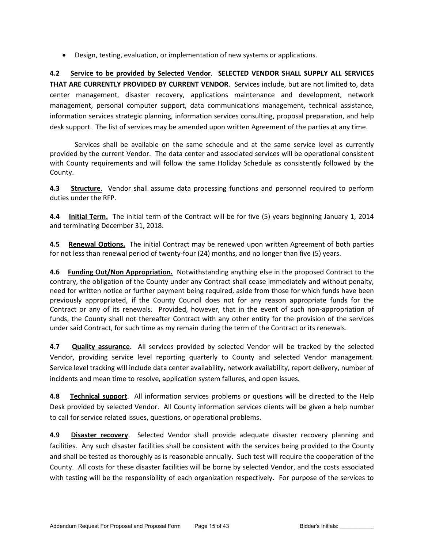• Design, testing, evaluation, or implementation of new systems or applications.

**4.2 Service to be provided by Selected Vendor**. **SELECTED VENDOR SHALL SUPPLY ALL SERVICES THAT ARE CURRENTLY PROVIDED BY CURRENT VENDOR**. Services include, but are not limited to, data center management, disaster recovery, applications maintenance and development, network management, personal computer support, data communications management, technical assistance, information services strategic planning, information services consulting, proposal preparation, and help desk support. The list of services may be amended upon written Agreement of the parties at any time.

Services shall be available on the same schedule and at the same service level as currently provided by the current Vendor. The data center and associated services will be operational consistent with County requirements and will follow the same Holiday Schedule as consistently followed by the County.

**4.3 Structure**. Vendor shall assume data processing functions and personnel required to perform duties under the RFP.

**4.4 Initial Term.** The initial term of the Contract will be for five (5) years beginning January 1, 2014 and terminating December 31, 2018.

**4.5 Renewal Options.** The initial Contract may be renewed upon written Agreement of both parties for not less than renewal period of twenty-four (24) months, and no longer than five (5) years.

**4.6 Funding Out/Non Appropriation.** Notwithstanding anything else in the proposed Contract to the contrary, the obligation of the County under any Contract shall cease immediately and without penalty, need for written notice or further payment being required, aside from those for which funds have been previously appropriated, if the County Council does not for any reason appropriate funds for the Contract or any of its renewals. Provided, however, that in the event of such non-appropriation of funds, the County shall not thereafter Contract with any other entity for the provision of the services under said Contract, for such time as my remain during the term of the Contract or its renewals.

**4.7 Quality assurance.** All services provided by selected Vendor will be tracked by the selected Vendor, providing service level reporting quarterly to County and selected Vendor management. Service level tracking will include data center availability, network availability, report delivery, number of incidents and mean time to resolve, application system failures, and open issues.

**4.8 Technical support**. All information services problems or questions will be directed to the Help Desk provided by selected Vendor. All County information services clients will be given a help number to call for service related issues, questions, or operational problems.

**4.9 Disaster recovery**. Selected Vendor shall provide adequate disaster recovery planning and facilities. Any such disaster facilities shall be consistent with the services being provided to the County and shall be tested as thoroughly as is reasonable annually. Such test will require the cooperation of the County. All costs for these disaster facilities will be borne by selected Vendor, and the costs associated with testing will be the responsibility of each organization respectively. For purpose of the services to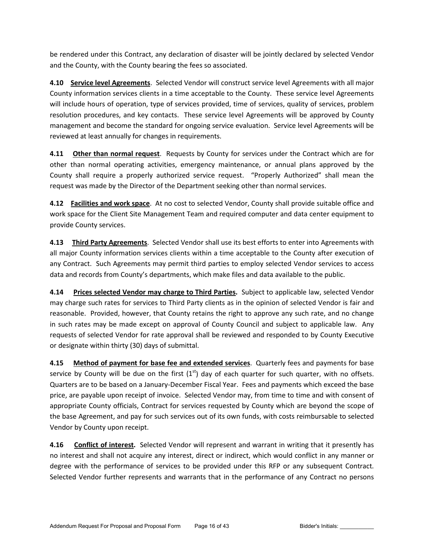be rendered under this Contract, any declaration of disaster will be jointly declared by selected Vendor and the County, with the County bearing the fees so associated.

**4.10 Service level Agreements**. Selected Vendor will construct service level Agreements with all major County information services clients in a time acceptable to the County. These service level Agreements will include hours of operation, type of services provided, time of services, quality of services, problem resolution procedures, and key contacts. These service level Agreements will be approved by County management and become the standard for ongoing service evaluation. Service level Agreements will be reviewed at least annually for changes in requirements.

**4.11 Other than normal request**. Requests by County for services under the Contract which are for other than normal operating activities, emergency maintenance, or annual plans approved by the County shall require a properly authorized service request. "Properly Authorized" shall mean the request was made by the Director of the Department seeking other than normal services.

**4.12 Facilities and work space**. At no cost to selected Vendor, County shall provide suitable office and work space for the Client Site Management Team and required computer and data center equipment to provide County services.

**4.13 Third Party Agreements**. Selected Vendor shall use its best efforts to enter into Agreements with all major County information services clients within a time acceptable to the County after execution of any Contract. Such Agreements may permit third parties to employ selected Vendor services to access data and records from County's departments, which make files and data available to the public.

**4.14 Prices selected Vendor may charge to Third Parties.** Subject to applicable law, selected Vendor may charge such rates for services to Third Party clients as in the opinion of selected Vendor is fair and reasonable. Provided, however, that County retains the right to approve any such rate, and no change in such rates may be made except on approval of County Council and subject to applicable law. Any requests of selected Vendor for rate approval shall be reviewed and responded to by County Executive or designate within thirty (30) days of submittal.

**4.15 Method of payment for base fee and extended services**. Quarterly fees and payments for base service by County will be due on the first  $(1<sup>st</sup>)$  day of each quarter for such quarter, with no offsets. Quarters are to be based on a January-December Fiscal Year. Fees and payments which exceed the base price, are payable upon receipt of invoice. Selected Vendor may, from time to time and with consent of appropriate County officials, Contract for services requested by County which are beyond the scope of the base Agreement, and pay for such services out of its own funds, with costs reimbursable to selected Vendor by County upon receipt.

**4.16 Conflict of interest.** Selected Vendor will represent and warrant in writing that it presently has no interest and shall not acquire any interest, direct or indirect, which would conflict in any manner or degree with the performance of services to be provided under this RFP or any subsequent Contract. Selected Vendor further represents and warrants that in the performance of any Contract no persons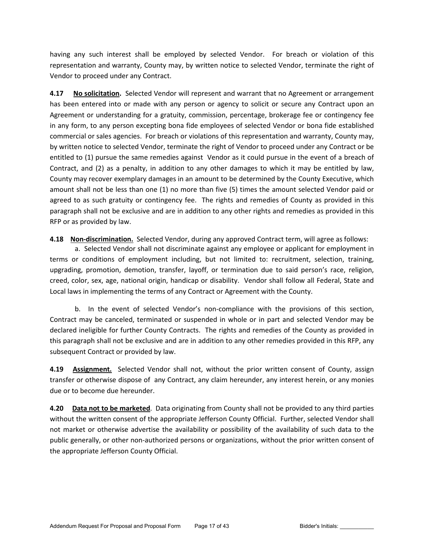having any such interest shall be employed by selected Vendor. For breach or violation of this representation and warranty, County may, by written notice to selected Vendor, terminate the right of Vendor to proceed under any Contract.

**4.17 No solicitation.** Selected Vendor will represent and warrant that no Agreement or arrangement has been entered into or made with any person or agency to solicit or secure any Contract upon an Agreement or understanding for a gratuity, commission, percentage, brokerage fee or contingency fee in any form, to any person excepting bona fide employees of selected Vendor or bona fide established commercial or sales agencies. For breach or violations of this representation and warranty, County may, by written notice to selected Vendor, terminate the right of Vendor to proceed under any Contract or be entitled to (1) pursue the same remedies against Vendor as it could pursue in the event of a breach of Contract, and (2) as a penalty, in addition to any other damages to which it may be entitled by law, County may recover exemplary damages in an amount to be determined by the County Executive, which amount shall not be less than one (1) no more than five (5) times the amount selected Vendor paid or agreed to as such gratuity or contingency fee. The rights and remedies of County as provided in this paragraph shall not be exclusive and are in addition to any other rights and remedies as provided in this RFP or as provided by law.

**4.18 Non-discrimination.** Selected Vendor, during any approved Contract term, will agree as follows:

a. Selected Vendor shall not discriminate against any employee or applicant for employment in terms or conditions of employment including, but not limited to: recruitment, selection, training, upgrading, promotion, demotion, transfer, layoff, or termination due to said person's race, religion, creed, color, sex, age, national origin, handicap or disability. Vendor shall follow all Federal, State and Local laws in implementing the terms of any Contract or Agreement with the County.

b. In the event of selected Vendor's non-compliance with the provisions of this section, Contract may be canceled, terminated or suspended in whole or in part and selected Vendor may be declared ineligible for further County Contracts. The rights and remedies of the County as provided in this paragraph shall not be exclusive and are in addition to any other remedies provided in this RFP, any subsequent Contract or provided by law.

**4.19 Assignment.** Selected Vendor shall not, without the prior written consent of County, assign transfer or otherwise dispose of any Contract, any claim hereunder, any interest herein, or any monies due or to become due hereunder.

**4.20 Data not to be marketed**. Data originating from County shall not be provided to any third parties without the written consent of the appropriate Jefferson County Official. Further, selected Vendor shall not market or otherwise advertise the availability or possibility of the availability of such data to the public generally, or other non-authorized persons or organizations, without the prior written consent of the appropriate Jefferson County Official.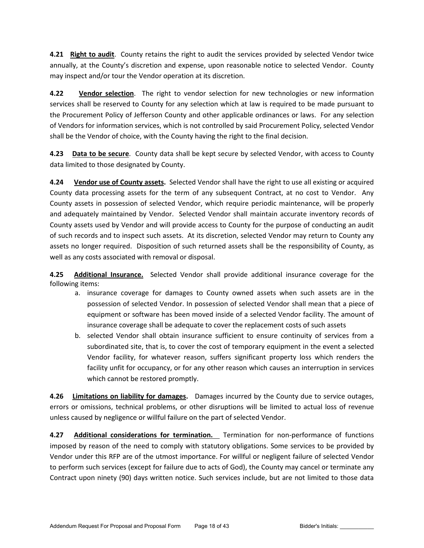**4.21 Right to audit**. County retains the right to audit the services provided by selected Vendor twice annually, at the County's discretion and expense, upon reasonable notice to selected Vendor. County may inspect and/or tour the Vendor operation at its discretion.

**4.22 Vendor selection**. The right to vendor selection for new technologies or new information services shall be reserved to County for any selection which at law is required to be made pursuant to the Procurement Policy of Jefferson County and other applicable ordinances or laws. For any selection of Vendors for information services, which is not controlled by said Procurement Policy, selected Vendor shall be the Vendor of choice, with the County having the right to the final decision.

**4.23 Data to be secure**. County data shall be kept secure by selected Vendor, with access to County data limited to those designated by County.

**4.24 Vendor use of County assets.** Selected Vendor shall have the right to use all existing or acquired County data processing assets for the term of any subsequent Contract, at no cost to Vendor. Any County assets in possession of selected Vendor, which require periodic maintenance, will be properly and adequately maintained by Vendor. Selected Vendor shall maintain accurate inventory records of County assets used by Vendor and will provide access to County for the purpose of conducting an audit of such records and to inspect such assets. At its discretion, selected Vendor may return to County any assets no longer required. Disposition of such returned assets shall be the responsibility of County, as well as any costs associated with removal or disposal.

**4.25 Additional Insurance.** Selected Vendor shall provide additional insurance coverage for the following items:

- a. insurance coverage for damages to County owned assets when such assets are in the possession of selected Vendor. In possession of selected Vendor shall mean that a piece of equipment or software has been moved inside of a selected Vendor facility. The amount of insurance coverage shall be adequate to cover the replacement costs of such assets
- b. selected Vendor shall obtain insurance sufficient to ensure continuity of services from a subordinated site, that is, to cover the cost of temporary equipment in the event a selected Vendor facility, for whatever reason, suffers significant property loss which renders the facility unfit for occupancy, or for any other reason which causes an interruption in services which cannot be restored promptly.

**4.26 Limitations on liability for damages.** Damages incurred by the County due to service outages, errors or omissions, technical problems, or other disruptions will be limited to actual loss of revenue unless caused by negligence or willful failure on the part of selected Vendor.

**4.27 Additional considerations for termination.** Termination for non-performance of functions imposed by reason of the need to comply with statutory obligations. Some services to be provided by Vendor under this RFP are of the utmost importance. For willful or negligent failure of selected Vendor to perform such services (except for failure due to acts of God), the County may cancel or terminate any Contract upon ninety (90) days written notice. Such services include, but are not limited to those data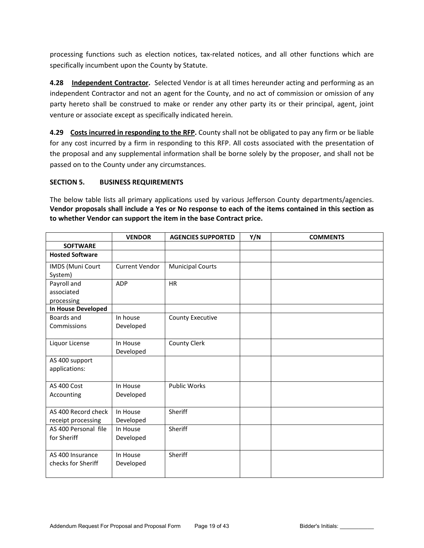processing functions such as election notices, tax-related notices, and all other functions which are specifically incumbent upon the County by Statute.

**4.28 Independent Contractor.** Selected Vendor is at all times hereunder acting and performing as an independent Contractor and not an agent for the County, and no act of commission or omission of any party hereto shall be construed to make or render any other party its or their principal, agent, joint venture or associate except as specifically indicated herein.

**4.29 Costs incurred in responding to the RFP.** County shall not be obligated to pay any firm or be liable for any cost incurred by a firm in responding to this RFP. All costs associated with the presentation of the proposal and any supplemental information shall be borne solely by the proposer, and shall not be passed on to the County under any circumstances.

# **SECTION 5. BUSINESS REQUIREMENTS**

The below table lists all primary applications used by various Jefferson County departments/agencies. **Vendor proposals shall include a Yes or No response to each of the items contained in this section as to whether Vendor can support the item in the base Contract price.**

|                        | <b>VENDOR</b>         | <b>AGENCIES SUPPORTED</b> | Y/N | <b>COMMENTS</b> |
|------------------------|-----------------------|---------------------------|-----|-----------------|
| <b>SOFTWARE</b>        |                       |                           |     |                 |
| <b>Hosted Software</b> |                       |                           |     |                 |
| IMDS (Muni Court       | <b>Current Vendor</b> | <b>Municipal Courts</b>   |     |                 |
| System)                |                       |                           |     |                 |
| Payroll and            | <b>ADP</b>            | <b>HR</b>                 |     |                 |
| associated             |                       |                           |     |                 |
| processing             |                       |                           |     |                 |
| In House Developed     |                       |                           |     |                 |
| Boards and             | In house              | <b>County Executive</b>   |     |                 |
| Commissions            | Developed             |                           |     |                 |
|                        |                       |                           |     |                 |
| Liquor License         | In House              | County Clerk              |     |                 |
|                        | Developed             |                           |     |                 |
| AS 400 support         |                       |                           |     |                 |
| applications:          |                       |                           |     |                 |
|                        |                       |                           |     |                 |
| AS 400 Cost            | In House              | <b>Public Works</b>       |     |                 |
| Accounting             | Developed             |                           |     |                 |
|                        |                       |                           |     |                 |
| AS 400 Record check    | In House              | Sheriff                   |     |                 |
| receipt processing     | Developed             |                           |     |                 |
| AS 400 Personal file   | In House              | Sheriff                   |     |                 |
| for Sheriff            | Developed             |                           |     |                 |
|                        |                       |                           |     |                 |
| AS 400 Insurance       | In House              | Sheriff                   |     |                 |
| checks for Sheriff     | Developed             |                           |     |                 |
|                        |                       |                           |     |                 |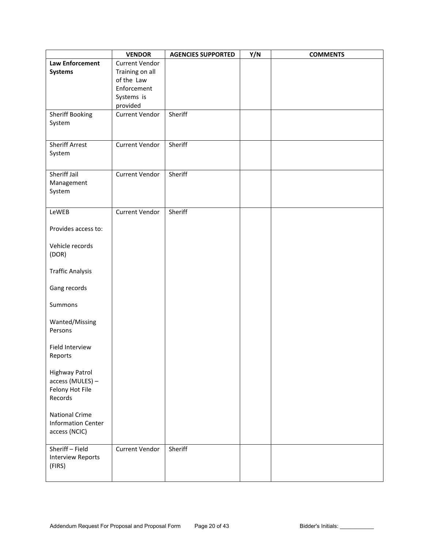|                                           | <b>VENDOR</b>         | <b>AGENCIES SUPPORTED</b> | Y/N | <b>COMMENTS</b> |
|-------------------------------------------|-----------------------|---------------------------|-----|-----------------|
| <b>Law Enforcement</b>                    | Current Vendor        |                           |     |                 |
| <b>Systems</b>                            | Training on all       |                           |     |                 |
|                                           | of the Law            |                           |     |                 |
|                                           | Enforcement           |                           |     |                 |
|                                           | Systems is            |                           |     |                 |
|                                           | provided              |                           |     |                 |
| Sheriff Booking                           | Current Vendor        | Sheriff                   |     |                 |
| System                                    |                       |                           |     |                 |
|                                           |                       |                           |     |                 |
|                                           |                       |                           |     |                 |
| <b>Sheriff Arrest</b>                     | Current Vendor        | Sheriff                   |     |                 |
| System                                    |                       |                           |     |                 |
|                                           |                       |                           |     |                 |
| Sheriff Jail                              | <b>Current Vendor</b> | Sheriff                   |     |                 |
| Management                                |                       |                           |     |                 |
| System                                    |                       |                           |     |                 |
|                                           |                       |                           |     |                 |
|                                           |                       |                           |     |                 |
| LeWEB                                     | Current Vendor        | Sheriff                   |     |                 |
|                                           |                       |                           |     |                 |
| Provides access to:                       |                       |                           |     |                 |
|                                           |                       |                           |     |                 |
| Vehicle records                           |                       |                           |     |                 |
| (DOR)                                     |                       |                           |     |                 |
|                                           |                       |                           |     |                 |
| <b>Traffic Analysis</b>                   |                       |                           |     |                 |
|                                           |                       |                           |     |                 |
| Gang records                              |                       |                           |     |                 |
|                                           |                       |                           |     |                 |
| Summons                                   |                       |                           |     |                 |
|                                           |                       |                           |     |                 |
| Wanted/Missing                            |                       |                           |     |                 |
| Persons                                   |                       |                           |     |                 |
|                                           |                       |                           |     |                 |
| Field Interview                           |                       |                           |     |                 |
| Reports                                   |                       |                           |     |                 |
|                                           |                       |                           |     |                 |
| <b>Highway Patrol</b><br>access (MULES) - |                       |                           |     |                 |
| Felony Hot File                           |                       |                           |     |                 |
| Records                                   |                       |                           |     |                 |
|                                           |                       |                           |     |                 |
| <b>National Crime</b>                     |                       |                           |     |                 |
| <b>Information Center</b>                 |                       |                           |     |                 |
| access (NCIC)                             |                       |                           |     |                 |
|                                           |                       |                           |     |                 |
| Sheriff - Field                           | <b>Current Vendor</b> | Sheriff                   |     |                 |
| <b>Interview Reports</b>                  |                       |                           |     |                 |
| (FIRS)                                    |                       |                           |     |                 |
|                                           |                       |                           |     |                 |
|                                           |                       |                           |     |                 |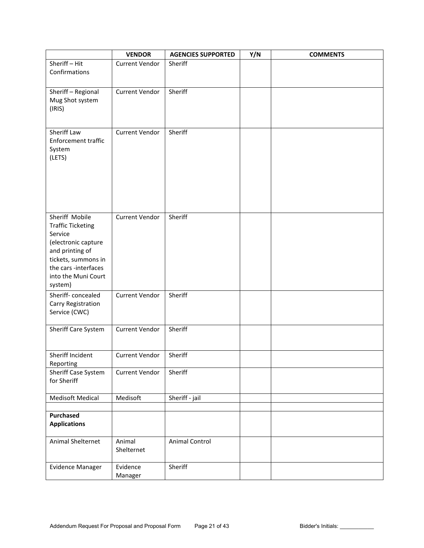|                                                                                                                                                                                  | <b>VENDOR</b>         | <b>AGENCIES SUPPORTED</b> | Y/N | <b>COMMENTS</b> |
|----------------------------------------------------------------------------------------------------------------------------------------------------------------------------------|-----------------------|---------------------------|-----|-----------------|
| Sheriff-Hit<br>Confirmations                                                                                                                                                     | <b>Current Vendor</b> | Sheriff                   |     |                 |
| Sheriff - Regional<br>Mug Shot system<br>(IRIS)                                                                                                                                  | <b>Current Vendor</b> | Sheriff                   |     |                 |
| Sheriff Law<br>Enforcement traffic<br>System<br>(LETS)                                                                                                                           | <b>Current Vendor</b> | Sheriff                   |     |                 |
| Sheriff Mobile<br><b>Traffic Ticketing</b><br>Service<br>(electronic capture<br>and printing of<br>tickets, summons in<br>the cars -interfaces<br>into the Muni Court<br>system) | Current Vendor        | Sheriff                   |     |                 |
| Sheriff-concealed<br>Carry Registration<br>Service (CWC)                                                                                                                         | <b>Current Vendor</b> | Sheriff                   |     |                 |
| Sheriff Care System                                                                                                                                                              | Current Vendor        | Sheriff                   |     |                 |
| Sheriff Incident<br>Reporting                                                                                                                                                    | <b>Current Vendor</b> | Sheriff                   |     |                 |
| Sheriff Case System<br>for Sheriff                                                                                                                                               | Current Vendor        | Sheriff                   |     |                 |
| <b>Medisoft Medical</b>                                                                                                                                                          | Medisoft              | Sheriff - jail            |     |                 |
| <b>Purchased</b><br><b>Applications</b>                                                                                                                                          |                       |                           |     |                 |
| Animal Shelternet                                                                                                                                                                | Animal<br>Shelternet  | Animal Control            |     |                 |
| Evidence Manager                                                                                                                                                                 | Evidence<br>Manager   | Sheriff                   |     |                 |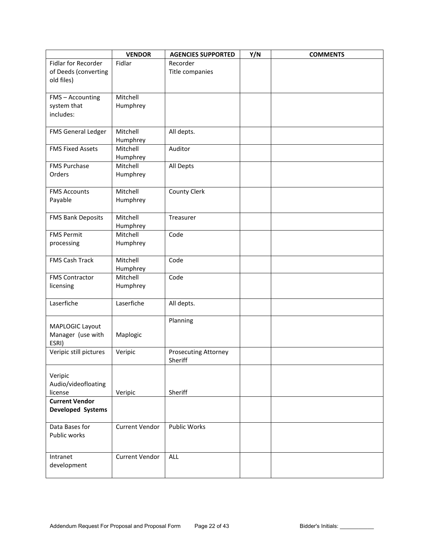|                                 | <b>VENDOR</b>        | <b>AGENCIES SUPPORTED</b>   | Y/N | <b>COMMENTS</b> |
|---------------------------------|----------------------|-----------------------------|-----|-----------------|
| Fidlar for Recorder             | Fidlar               | Recorder                    |     |                 |
| of Deeds (converting            |                      | Title companies             |     |                 |
| old files)                      |                      |                             |     |                 |
|                                 |                      |                             |     |                 |
| FMS - Accounting                | Mitchell             |                             |     |                 |
| system that                     | Humphrey             |                             |     |                 |
| includes:                       |                      |                             |     |                 |
| FMS General Ledger              | Mitchell             | All depts.                  |     |                 |
|                                 | Humphrey             |                             |     |                 |
| <b>FMS Fixed Assets</b>         | Mitchell             | Auditor                     |     |                 |
|                                 | Humphrey             |                             |     |                 |
| <b>FMS Purchase</b>             | Mitchell             | All Depts                   |     |                 |
| Orders                          | Humphrey             |                             |     |                 |
|                                 |                      |                             |     |                 |
| <b>FMS Accounts</b>             | Mitchell             | County Clerk                |     |                 |
| Payable                         | Humphrey             |                             |     |                 |
|                                 |                      |                             |     |                 |
| <b>FMS Bank Deposits</b>        | Mitchell             | Treasurer                   |     |                 |
|                                 | Humphrey<br>Mitchell | Code                        |     |                 |
| <b>FMS Permit</b><br>processing | Humphrey             |                             |     |                 |
|                                 |                      |                             |     |                 |
| FMS Cash Track                  | Mitchell             | Code                        |     |                 |
|                                 | Humphrey             |                             |     |                 |
| <b>FMS Contractor</b>           | Mitchell             | Code                        |     |                 |
| licensing                       | Humphrey             |                             |     |                 |
|                                 |                      |                             |     |                 |
| Laserfiche                      | Laserfiche           | All depts.                  |     |                 |
|                                 |                      |                             |     |                 |
| MAPLOGIC Layout                 |                      | Planning                    |     |                 |
| Manager (use with               | Maplogic             |                             |     |                 |
| ESRI)                           |                      |                             |     |                 |
| Veripic still pictures          | Veripic              | <b>Prosecuting Attorney</b> |     |                 |
|                                 |                      | Sheriff                     |     |                 |
| Veripic                         |                      |                             |     |                 |
| Audio/videofloating             |                      |                             |     |                 |
| license                         | Veripic              | Sheriff                     |     |                 |
| <b>Current Vendor</b>           |                      |                             |     |                 |
| Developed Systems               |                      |                             |     |                 |
|                                 |                      |                             |     |                 |
| Data Bases for                  | Current Vendor       | <b>Public Works</b>         |     |                 |
| Public works                    |                      |                             |     |                 |
|                                 |                      |                             |     |                 |
| Intranet                        | Current Vendor       | <b>ALL</b>                  |     |                 |
| development                     |                      |                             |     |                 |
|                                 |                      |                             |     |                 |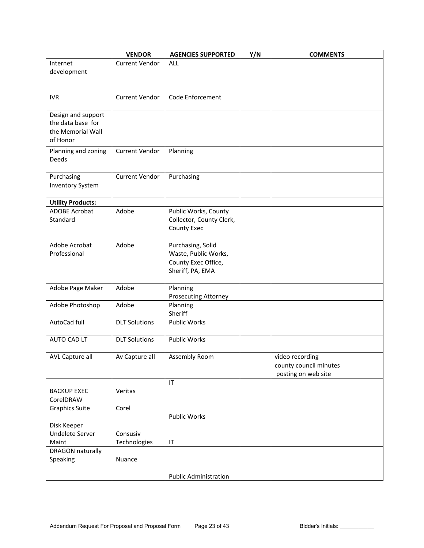|                                                                          | <b>VENDOR</b>         | <b>AGENCIES SUPPORTED</b>                                                            | Y/N | <b>COMMENTS</b>                                                  |
|--------------------------------------------------------------------------|-----------------------|--------------------------------------------------------------------------------------|-----|------------------------------------------------------------------|
| Internet<br>development                                                  | <b>Current Vendor</b> | <b>ALL</b>                                                                           |     |                                                                  |
| <b>IVR</b>                                                               | <b>Current Vendor</b> | Code Enforcement                                                                     |     |                                                                  |
| Design and support<br>the data base for<br>the Memorial Wall<br>of Honor |                       |                                                                                      |     |                                                                  |
| Planning and zoning<br>Deeds                                             | Current Vendor        | Planning                                                                             |     |                                                                  |
| Purchasing<br><b>Inventory System</b>                                    | Current Vendor        | Purchasing                                                                           |     |                                                                  |
| <b>Utility Products:</b>                                                 |                       |                                                                                      |     |                                                                  |
| <b>ADOBE Acrobat</b><br>Standard                                         | Adobe                 | Public Works, County<br>Collector, County Clerk,<br>County Exec                      |     |                                                                  |
| Adobe Acrobat<br>Professional                                            | Adobe                 | Purchasing, Solid<br>Waste, Public Works,<br>County Exec Office,<br>Sheriff, PA, EMA |     |                                                                  |
| Adobe Page Maker                                                         | Adobe                 | Planning<br>Prosecuting Attorney                                                     |     |                                                                  |
| Adobe Photoshop                                                          | Adobe                 | Planning<br>Sheriff                                                                  |     |                                                                  |
| AutoCad full                                                             | <b>DLT Solutions</b>  | <b>Public Works</b>                                                                  |     |                                                                  |
| AUTO CAD LT                                                              | <b>DLT Solutions</b>  | <b>Public Works</b>                                                                  |     |                                                                  |
| AVL Capture all                                                          | Av Capture all        | Assembly Room                                                                        |     | video recording<br>county council minutes<br>posting on web site |
| <b>BACKUP EXEC</b>                                                       | Veritas               | $\mathsf{I}\mathsf{T}$                                                               |     |                                                                  |
| CorelDRAW                                                                |                       |                                                                                      |     |                                                                  |
| <b>Graphics Suite</b>                                                    | Corel                 | Public Works                                                                         |     |                                                                  |
| Disk Keeper                                                              |                       |                                                                                      |     |                                                                  |
| Undelete Server                                                          | Consusiv              |                                                                                      |     |                                                                  |
| Maint                                                                    | Technologies          | IT                                                                                   |     |                                                                  |
| <b>DRAGON naturally</b><br>Speaking                                      | Nuance                |                                                                                      |     |                                                                  |
|                                                                          |                       | <b>Public Administration</b>                                                         |     |                                                                  |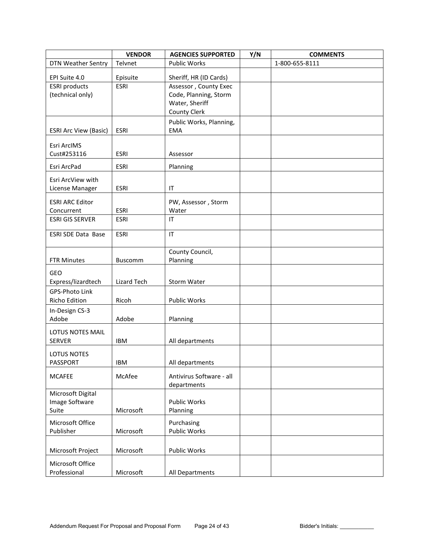|                              | <b>VENDOR</b>  | <b>AGENCIES SUPPORTED</b> | Y/N | <b>COMMENTS</b> |
|------------------------------|----------------|---------------------------|-----|-----------------|
| <b>DTN Weather Sentry</b>    | Telvnet        | <b>Public Works</b>       |     | 1-800-655-8111  |
| EPI Suite 4.0                | Episuite       | Sheriff, HR (ID Cards)    |     |                 |
| <b>ESRI</b> products         | <b>ESRI</b>    | Assessor, County Exec     |     |                 |
| (technical only)             |                | Code, Planning, Storm     |     |                 |
|                              |                | Water, Sheriff            |     |                 |
|                              |                | <b>County Clerk</b>       |     |                 |
|                              |                | Public Works, Planning,   |     |                 |
| <b>ESRI Arc View (Basic)</b> | <b>ESRI</b>    | <b>EMA</b>                |     |                 |
| Esri ArcIMS                  |                |                           |     |                 |
| Cust#253116                  | <b>ESRI</b>    | Assessor                  |     |                 |
| Esri ArcPad                  | <b>ESRI</b>    | Planning                  |     |                 |
| Esri ArcView with            |                |                           |     |                 |
| License Manager              | <b>ESRI</b>    | IT                        |     |                 |
| <b>ESRI ARC Editor</b>       |                | PW, Assessor, Storm       |     |                 |
| Concurrent                   | <b>ESRI</b>    | Water                     |     |                 |
| <b>ESRI GIS SERVER</b>       | <b>ESRI</b>    | IT                        |     |                 |
| <b>ESRI SDE Data Base</b>    | <b>ESRI</b>    | IT                        |     |                 |
|                              |                | County Council,           |     |                 |
| <b>FTR Minutes</b>           | <b>Buscomm</b> | Planning                  |     |                 |
| GEO                          |                |                           |     |                 |
| Express/lizardtech           | Lizard Tech    | Storm Water               |     |                 |
| GPS-Photo Link               |                |                           |     |                 |
| Richo Edition                | Ricoh          | Public Works              |     |                 |
| In-Design CS-3               |                |                           |     |                 |
| Adobe                        | Adobe          | Planning                  |     |                 |
| LOTUS NOTES MAIL             |                |                           |     |                 |
| <b>SERVER</b>                | <b>IBM</b>     | All departments           |     |                 |
| LOTUS NOTES                  |                |                           |     |                 |
| PASSPORT                     | <b>IBM</b>     | All departments           |     |                 |
| <b>MCAFEE</b>                | McAfee         | Antivirus Software - all  |     |                 |
|                              |                | departments               |     |                 |
| Microsoft Digital            |                |                           |     |                 |
| Image Software               | Microsoft      | Public Works              |     |                 |
| Suite                        |                | Planning                  |     |                 |
| Microsoft Office             |                | Purchasing                |     |                 |
| Publisher                    | Microsoft      | Public Works              |     |                 |
| Microsoft Project            | Microsoft      | Public Works              |     |                 |
| Microsoft Office             |                |                           |     |                 |
| Professional                 | Microsoft      | All Departments           |     |                 |
|                              |                |                           |     |                 |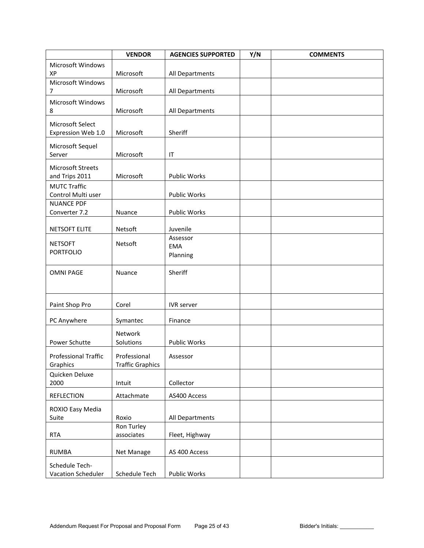|                                        | <b>VENDOR</b>            | <b>AGENCIES SUPPORTED</b> | Y/N | <b>COMMENTS</b> |
|----------------------------------------|--------------------------|---------------------------|-----|-----------------|
| Microsoft Windows                      |                          |                           |     |                 |
| XP                                     | Microsoft                | All Departments           |     |                 |
| Microsoft Windows<br>$\overline{7}$    | Microsoft                | All Departments           |     |                 |
| Microsoft Windows                      |                          |                           |     |                 |
| 8                                      | Microsoft                | All Departments           |     |                 |
|                                        |                          |                           |     |                 |
| Microsoft Select<br>Expression Web 1.0 | Microsoft                | Sheriff                   |     |                 |
|                                        |                          |                           |     |                 |
| Microsoft Sequel<br>Server             | Microsoft                | IT                        |     |                 |
|                                        |                          |                           |     |                 |
| Microsoft Streets<br>and Trips 2011    | Microsoft                | Public Works              |     |                 |
| <b>MUTC Traffic</b>                    |                          |                           |     |                 |
| Control Multi user                     |                          | Public Works              |     |                 |
| <b>NUANCE PDF</b>                      |                          |                           |     |                 |
| Converter 7.2                          | Nuance                   | Public Works              |     |                 |
| <b>NETSOFT ELITE</b>                   | Netsoft                  | Juvenile                  |     |                 |
|                                        |                          | Assessor                  |     |                 |
| <b>NETSOFT</b>                         | Netsoft                  | <b>EMA</b>                |     |                 |
| <b>PORTFOLIO</b>                       |                          | Planning                  |     |                 |
| <b>OMNI PAGE</b>                       | Nuance                   | Sheriff                   |     |                 |
|                                        |                          |                           |     |                 |
|                                        |                          |                           |     |                 |
| Paint Shop Pro                         | Corel                    | <b>IVR</b> server         |     |                 |
|                                        |                          |                           |     |                 |
| PC Anywhere                            | Symantec                 | Finance                   |     |                 |
|                                        | Network                  |                           |     |                 |
| Power Schutte                          | Solutions                | Public Works              |     |                 |
| <b>Professional Traffic</b>            | Professional             | Assessor                  |     |                 |
| Graphics                               | <b>Traffic Graphics</b>  |                           |     |                 |
| Quicken Deluxe                         |                          |                           |     |                 |
| 2000                                   | Intuit                   | Collector                 |     |                 |
| <b>REFLECTION</b>                      | Attachmate               | AS400 Access              |     |                 |
| ROXIO Easy Media                       |                          |                           |     |                 |
| Suite                                  | Roxio                    | All Departments           |     |                 |
| <b>RTA</b>                             | Ron Turley<br>associates | Fleet, Highway            |     |                 |
|                                        |                          |                           |     |                 |
| <b>RUMBA</b>                           | Net Manage               | AS 400 Access             |     |                 |
| Schedule Tech-                         |                          |                           |     |                 |
| Vacation Scheduler                     | Schedule Tech            | Public Works              |     |                 |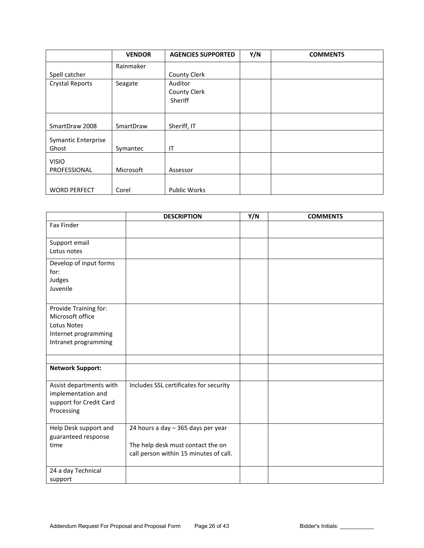|                            | <b>VENDOR</b> | <b>AGENCIES SUPPORTED</b> | Y/N | <b>COMMENTS</b> |
|----------------------------|---------------|---------------------------|-----|-----------------|
|                            | Rainmaker     |                           |     |                 |
| Spell catcher              |               | <b>County Clerk</b>       |     |                 |
| <b>Crystal Reports</b>     | Seagate       | Auditor                   |     |                 |
|                            |               | County Clerk              |     |                 |
|                            |               | Sheriff                   |     |                 |
|                            |               |                           |     |                 |
|                            |               |                           |     |                 |
| SmartDraw 2008             | SmartDraw     | Sheriff, IT               |     |                 |
| <b>Symantic Enterprise</b> |               |                           |     |                 |
| Ghost                      | Symantec      | IT                        |     |                 |
| <b>VISIO</b>               |               |                           |     |                 |
| PROFESSIONAL               | Microsoft     | Assessor                  |     |                 |
|                            |               |                           |     |                 |
| <b>WORD PERFECT</b>        | Corel         | <b>Public Works</b>       |     |                 |

|                         | <b>DESCRIPTION</b>                     | Y/N | <b>COMMENTS</b> |
|-------------------------|----------------------------------------|-----|-----------------|
| <b>Fax Finder</b>       |                                        |     |                 |
| Support email           |                                        |     |                 |
| Lotus notes             |                                        |     |                 |
| Develop of input forms  |                                        |     |                 |
| for:                    |                                        |     |                 |
| Judges                  |                                        |     |                 |
| Juvenile                |                                        |     |                 |
|                         |                                        |     |                 |
| Provide Training for:   |                                        |     |                 |
| Microsoft office        |                                        |     |                 |
| <b>Lotus Notes</b>      |                                        |     |                 |
| Internet programming    |                                        |     |                 |
| Intranet programming    |                                        |     |                 |
|                         |                                        |     |                 |
|                         |                                        |     |                 |
| <b>Network Support:</b> |                                        |     |                 |
| Assist departments with | Includes SSL certificates for security |     |                 |
| implementation and      |                                        |     |                 |
| support for Credit Card |                                        |     |                 |
| Processing              |                                        |     |                 |
|                         |                                        |     |                 |
| Help Desk support and   | 24 hours a day - 365 days per year     |     |                 |
| guaranteed response     |                                        |     |                 |
| time                    | The help desk must contact the on      |     |                 |
|                         | call person within 15 minutes of call. |     |                 |
|                         |                                        |     |                 |
| 24 a day Technical      |                                        |     |                 |
| support                 |                                        |     |                 |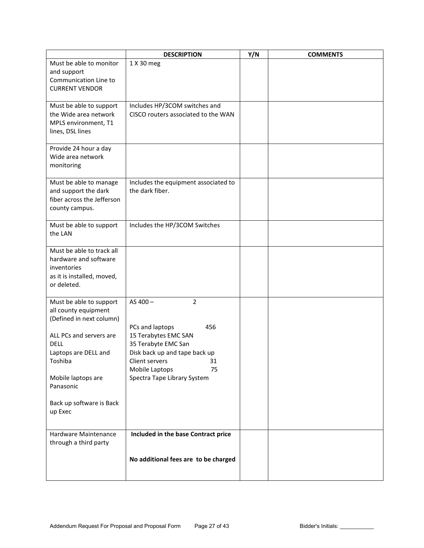|                                                | <b>DESCRIPTION</b>                             | Y/N | <b>COMMENTS</b> |
|------------------------------------------------|------------------------------------------------|-----|-----------------|
| Must be able to monitor                        | 1 X 30 meg                                     |     |                 |
| and support                                    |                                                |     |                 |
| Communication Line to<br><b>CURRENT VENDOR</b> |                                                |     |                 |
|                                                |                                                |     |                 |
| Must be able to support                        | Includes HP/3COM switches and                  |     |                 |
| the Wide area network                          | CISCO routers associated to the WAN            |     |                 |
| MPLS environment, T1                           |                                                |     |                 |
| lines, DSL lines                               |                                                |     |                 |
|                                                |                                                |     |                 |
| Provide 24 hour a day<br>Wide area network     |                                                |     |                 |
| monitoring                                     |                                                |     |                 |
|                                                |                                                |     |                 |
| Must be able to manage                         | Includes the equipment associated to           |     |                 |
| and support the dark                           | the dark fiber.                                |     |                 |
| fiber across the Jefferson                     |                                                |     |                 |
| county campus.                                 |                                                |     |                 |
| Must be able to support                        | Includes the HP/3COM Switches                  |     |                 |
| the LAN                                        |                                                |     |                 |
|                                                |                                                |     |                 |
| Must be able to track all                      |                                                |     |                 |
| hardware and software                          |                                                |     |                 |
| inventories<br>as it is installed, moved,      |                                                |     |                 |
| or deleted.                                    |                                                |     |                 |
|                                                |                                                |     |                 |
| Must be able to support                        | $\overline{2}$<br>AS 400-                      |     |                 |
| all county equipment                           |                                                |     |                 |
| (Defined in next column)                       |                                                |     |                 |
| ALL PCs and servers are                        | PCs and laptops<br>456<br>15 Terabytes EMC SAN |     |                 |
| DELL                                           | 35 Terabyte EMC San                            |     |                 |
| Laptops are DELL and                           | Disk back up and tape back up                  |     |                 |
| Toshiba                                        | Client servers<br>31                           |     |                 |
|                                                | Mobile Laptops<br>75                           |     |                 |
| Mobile laptops are                             | Spectra Tape Library System                    |     |                 |
| Panasonic                                      |                                                |     |                 |
| Back up software is Back                       |                                                |     |                 |
| up Exec                                        |                                                |     |                 |
|                                                |                                                |     |                 |
| Hardware Maintenance                           | Included in the base Contract price            |     |                 |
| through a third party                          |                                                |     |                 |
|                                                |                                                |     |                 |
|                                                | No additional fees are to be charged           |     |                 |
|                                                |                                                |     |                 |
|                                                |                                                |     |                 |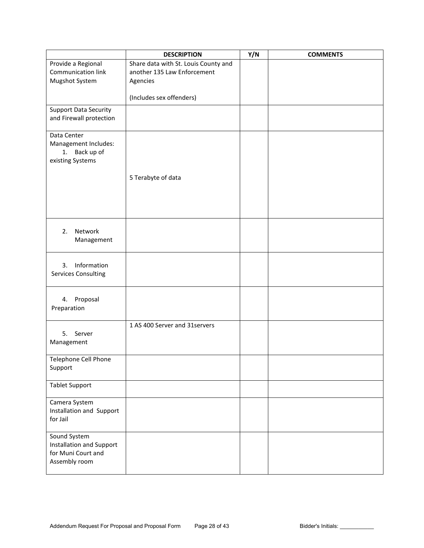|                                                 | <b>DESCRIPTION</b>                   | Y/N | <b>COMMENTS</b> |
|-------------------------------------------------|--------------------------------------|-----|-----------------|
| Provide a Regional                              | Share data with St. Louis County and |     |                 |
| <b>Communication link</b>                       | another 135 Law Enforcement          |     |                 |
| Mugshot System                                  | Agencies                             |     |                 |
|                                                 | (Includes sex offenders)             |     |                 |
| <b>Support Data Security</b>                    |                                      |     |                 |
| and Firewall protection                         |                                      |     |                 |
|                                                 |                                      |     |                 |
| Data Center<br>Management Includes:             |                                      |     |                 |
| 1. Back up of                                   |                                      |     |                 |
| existing Systems                                |                                      |     |                 |
|                                                 |                                      |     |                 |
|                                                 | 5 Terabyte of data                   |     |                 |
|                                                 |                                      |     |                 |
|                                                 |                                      |     |                 |
|                                                 |                                      |     |                 |
|                                                 |                                      |     |                 |
| Network<br>2.                                   |                                      |     |                 |
| Management                                      |                                      |     |                 |
|                                                 |                                      |     |                 |
|                                                 |                                      |     |                 |
| Information<br>3.<br><b>Services Consulting</b> |                                      |     |                 |
|                                                 |                                      |     |                 |
|                                                 |                                      |     |                 |
| Proposal<br>4.                                  |                                      |     |                 |
| Preparation                                     |                                      |     |                 |
|                                                 |                                      |     |                 |
| 5. Server                                       | 1 AS 400 Server and 31servers        |     |                 |
| Management                                      |                                      |     |                 |
|                                                 |                                      |     |                 |
| Telephone Cell Phone                            |                                      |     |                 |
| Support                                         |                                      |     |                 |
|                                                 |                                      |     |                 |
| <b>Tablet Support</b>                           |                                      |     |                 |
| Camera System                                   |                                      |     |                 |
| Installation and Support                        |                                      |     |                 |
| for Jail                                        |                                      |     |                 |
|                                                 |                                      |     |                 |
| Sound System<br>Installation and Support        |                                      |     |                 |
| for Muni Court and                              |                                      |     |                 |
| Assembly room                                   |                                      |     |                 |
|                                                 |                                      |     |                 |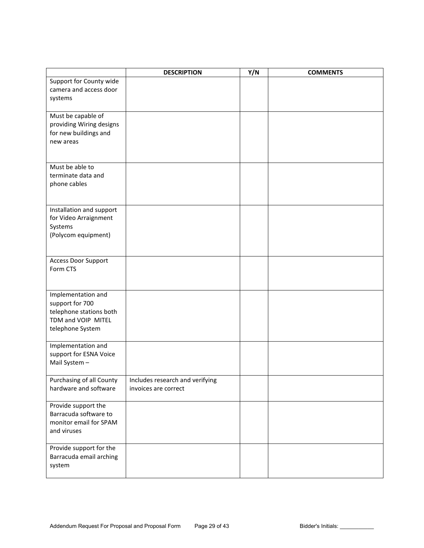|                                                | <b>DESCRIPTION</b>              | Y/N | <b>COMMENTS</b> |
|------------------------------------------------|---------------------------------|-----|-----------------|
| Support for County wide                        |                                 |     |                 |
| camera and access door                         |                                 |     |                 |
| systems                                        |                                 |     |                 |
|                                                |                                 |     |                 |
| Must be capable of<br>providing Wiring designs |                                 |     |                 |
| for new buildings and                          |                                 |     |                 |
| new areas                                      |                                 |     |                 |
|                                                |                                 |     |                 |
|                                                |                                 |     |                 |
| Must be able to                                |                                 |     |                 |
| terminate data and                             |                                 |     |                 |
| phone cables                                   |                                 |     |                 |
|                                                |                                 |     |                 |
| Installation and support                       |                                 |     |                 |
| for Video Arraignment                          |                                 |     |                 |
| Systems                                        |                                 |     |                 |
| (Polycom equipment)                            |                                 |     |                 |
|                                                |                                 |     |                 |
| <b>Access Door Support</b>                     |                                 |     |                 |
| Form CTS                                       |                                 |     |                 |
|                                                |                                 |     |                 |
| Implementation and                             |                                 |     |                 |
| support for 700                                |                                 |     |                 |
| telephone stations both                        |                                 |     |                 |
| TDM and VOIP MITEL                             |                                 |     |                 |
| telephone System                               |                                 |     |                 |
|                                                |                                 |     |                 |
| Implementation and<br>support for ESNA Voice   |                                 |     |                 |
| Mail System -                                  |                                 |     |                 |
|                                                |                                 |     |                 |
| Purchasing of all County                       | Includes research and verifying |     |                 |
| hardware and software                          | invoices are correct            |     |                 |
|                                                |                                 |     |                 |
| Provide support the<br>Barracuda software to   |                                 |     |                 |
| monitor email for SPAM                         |                                 |     |                 |
| and viruses                                    |                                 |     |                 |
|                                                |                                 |     |                 |
| Provide support for the                        |                                 |     |                 |
| Barracuda email arching                        |                                 |     |                 |
| system                                         |                                 |     |                 |
|                                                |                                 |     |                 |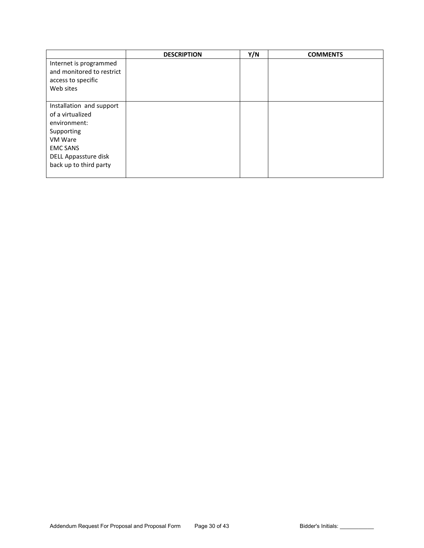|                           | <b>DESCRIPTION</b> | Y/N | <b>COMMENTS</b> |
|---------------------------|--------------------|-----|-----------------|
| Internet is programmed    |                    |     |                 |
| and monitored to restrict |                    |     |                 |
| access to specific        |                    |     |                 |
| Web sites                 |                    |     |                 |
|                           |                    |     |                 |
| Installation and support  |                    |     |                 |
| of a virtualized          |                    |     |                 |
| environment:              |                    |     |                 |
| Supporting                |                    |     |                 |
| VM Ware                   |                    |     |                 |
| <b>EMC SANS</b>           |                    |     |                 |
| DELL Appassture disk      |                    |     |                 |
| back up to third party    |                    |     |                 |
|                           |                    |     |                 |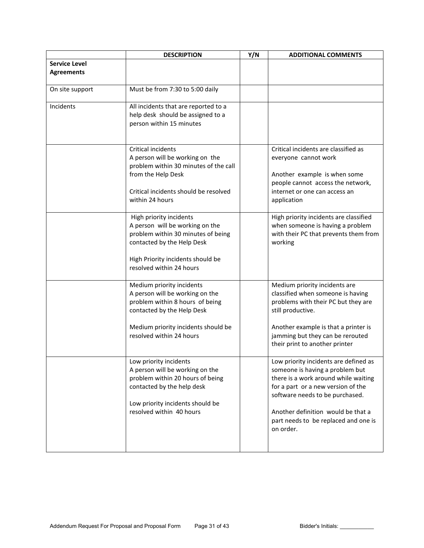|                      | <b>DESCRIPTION</b>                                                  | Y/N | <b>ADDITIONAL COMMENTS</b>                                              |
|----------------------|---------------------------------------------------------------------|-----|-------------------------------------------------------------------------|
| <b>Service Level</b> |                                                                     |     |                                                                         |
| <b>Agreements</b>    |                                                                     |     |                                                                         |
|                      |                                                                     |     |                                                                         |
| On site support      | Must be from 7:30 to 5:00 daily                                     |     |                                                                         |
|                      |                                                                     |     |                                                                         |
| Incidents            | All incidents that are reported to a                                |     |                                                                         |
|                      | help desk should be assigned to a<br>person within 15 minutes       |     |                                                                         |
|                      |                                                                     |     |                                                                         |
|                      |                                                                     |     |                                                                         |
|                      | Critical incidents                                                  |     | Critical incidents are classified as                                    |
|                      | A person will be working on the                                     |     | everyone cannot work                                                    |
|                      | problem within 30 minutes of the call                               |     |                                                                         |
|                      | from the Help Desk                                                  |     | Another example is when some                                            |
|                      |                                                                     |     | people cannot access the network,                                       |
|                      | Critical incidents should be resolved                               |     | internet or one can access an                                           |
|                      | within 24 hours                                                     |     | application                                                             |
|                      | High priority incidents                                             |     | High priority incidents are classified                                  |
|                      | A person will be working on the                                     |     | when someone is having a problem                                        |
|                      | problem within 30 minutes of being                                  |     | with their PC that prevents them from                                   |
|                      | contacted by the Help Desk                                          |     | working                                                                 |
|                      |                                                                     |     |                                                                         |
|                      | High Priority incidents should be                                   |     |                                                                         |
|                      | resolved within 24 hours                                            |     |                                                                         |
|                      |                                                                     |     |                                                                         |
|                      | Medium priority incidents<br>A person will be working on the        |     | Medium priority incidents are<br>classified when someone is having      |
|                      | problem within 8 hours of being                                     |     | problems with their PC but they are                                     |
|                      | contacted by the Help Desk                                          |     | still productive.                                                       |
|                      |                                                                     |     |                                                                         |
|                      | Medium priority incidents should be                                 |     | Another example is that a printer is                                    |
|                      | resolved within 24 hours                                            |     | jamming but they can be rerouted                                        |
|                      |                                                                     |     | their print to another printer                                          |
|                      |                                                                     |     |                                                                         |
|                      | Low priority incidents                                              |     | Low priority incidents are defined as                                   |
|                      | A person will be working on the<br>problem within 20 hours of being |     | someone is having a problem but<br>there is a work around while waiting |
|                      | contacted by the help desk                                          |     | for a part or a new version of the                                      |
|                      |                                                                     |     | software needs to be purchased.                                         |
|                      | Low priority incidents should be                                    |     |                                                                         |
|                      | resolved within 40 hours                                            |     | Another definition would be that a                                      |
|                      |                                                                     |     | part needs to be replaced and one is                                    |
|                      |                                                                     |     | on order.                                                               |
|                      |                                                                     |     |                                                                         |
|                      |                                                                     |     |                                                                         |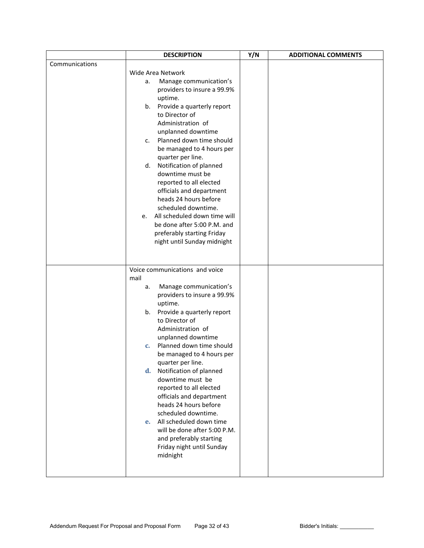|                | <b>DESCRIPTION</b>                             | Y/N | <b>ADDITIONAL COMMENTS</b> |
|----------------|------------------------------------------------|-----|----------------------------|
| Communications |                                                |     |                            |
|                | Wide Area Network                              |     |                            |
|                | Manage communication's<br>а.                   |     |                            |
|                | providers to insure a 99.9%                    |     |                            |
|                | uptime.                                        |     |                            |
|                | Provide a quarterly report<br>b.               |     |                            |
|                | to Director of                                 |     |                            |
|                | Administration of                              |     |                            |
|                | unplanned downtime<br>Planned down time should |     |                            |
|                | c.<br>be managed to 4 hours per                |     |                            |
|                | quarter per line.                              |     |                            |
|                | Notification of planned<br>d.                  |     |                            |
|                | downtime must be                               |     |                            |
|                | reported to all elected                        |     |                            |
|                | officials and department                       |     |                            |
|                | heads 24 hours before                          |     |                            |
|                | scheduled downtime.                            |     |                            |
|                | All scheduled down time will<br>e.             |     |                            |
|                | be done after 5:00 P.M. and                    |     |                            |
|                | preferably starting Friday                     |     |                            |
|                | night until Sunday midnight                    |     |                            |
|                |                                                |     |                            |
|                |                                                |     |                            |
|                | Voice communications and voice<br>mail         |     |                            |
|                | Manage communication's<br>а.                   |     |                            |
|                | providers to insure a 99.9%                    |     |                            |
|                | uptime.                                        |     |                            |
|                | Provide a quarterly report<br>b.               |     |                            |
|                | to Director of                                 |     |                            |
|                | Administration of                              |     |                            |
|                | unplanned downtime                             |     |                            |
|                | Planned down time should<br>$C_{1}$            |     |                            |
|                | be managed to 4 hours per                      |     |                            |
|                | quarter per line.                              |     |                            |
|                | d. Notification of planned                     |     |                            |
|                | downtime must be<br>reported to all elected    |     |                            |
|                | officials and department                       |     |                            |
|                | heads 24 hours before                          |     |                            |
|                | scheduled downtime.                            |     |                            |
|                | All scheduled down time<br>$e_{1}$             |     |                            |
|                | will be done after 5:00 P.M.                   |     |                            |
|                | and preferably starting                        |     |                            |
|                | Friday night until Sunday                      |     |                            |
|                | midnight                                       |     |                            |
|                |                                                |     |                            |
|                |                                                |     |                            |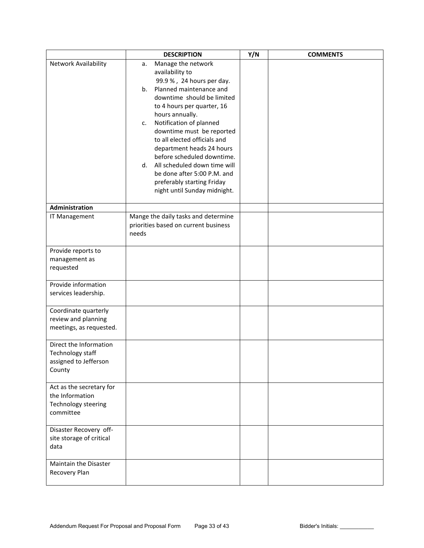|                                                                                 | <b>DESCRIPTION</b>                                                                                                                                                                                                                                                                                                                                                                                                                                                                | Y/N | <b>COMMENTS</b> |
|---------------------------------------------------------------------------------|-----------------------------------------------------------------------------------------------------------------------------------------------------------------------------------------------------------------------------------------------------------------------------------------------------------------------------------------------------------------------------------------------------------------------------------------------------------------------------------|-----|-----------------|
| Network Availability                                                            | Manage the network<br>а.<br>availability to<br>99.9 %, 24 hours per day.<br>Planned maintenance and<br>b.<br>downtime should be limited<br>to 4 hours per quarter, 16<br>hours annually.<br>Notification of planned<br>c.<br>downtime must be reported<br>to all elected officials and<br>department heads 24 hours<br>before scheduled downtime.<br>d. All scheduled down time will<br>be done after 5:00 P.M. and<br>preferably starting Friday<br>night until Sunday midnight. |     |                 |
| Administration                                                                  |                                                                                                                                                                                                                                                                                                                                                                                                                                                                                   |     |                 |
| IT Management                                                                   | Mange the daily tasks and determine<br>priorities based on current business<br>needs                                                                                                                                                                                                                                                                                                                                                                                              |     |                 |
| Provide reports to<br>management as<br>requested                                |                                                                                                                                                                                                                                                                                                                                                                                                                                                                                   |     |                 |
| Provide information<br>services leadership.                                     |                                                                                                                                                                                                                                                                                                                                                                                                                                                                                   |     |                 |
| Coordinate quarterly<br>review and planning<br>meetings, as requested.          |                                                                                                                                                                                                                                                                                                                                                                                                                                                                                   |     |                 |
| Direct the Information<br>Technology staff<br>assigned to Jefferson<br>County   |                                                                                                                                                                                                                                                                                                                                                                                                                                                                                   |     |                 |
| Act as the secretary for<br>the Information<br>Technology steering<br>committee |                                                                                                                                                                                                                                                                                                                                                                                                                                                                                   |     |                 |
| Disaster Recovery off-<br>site storage of critical<br>data                      |                                                                                                                                                                                                                                                                                                                                                                                                                                                                                   |     |                 |
| Maintain the Disaster<br>Recovery Plan                                          |                                                                                                                                                                                                                                                                                                                                                                                                                                                                                   |     |                 |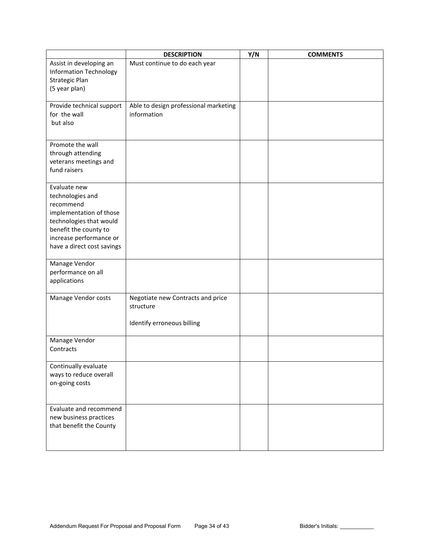|                               | <b>DESCRIPTION</b>                    | Y/N | <b>COMMENTS</b> |
|-------------------------------|---------------------------------------|-----|-----------------|
| Assist in developing an       | Must continue to do each year         |     |                 |
| <b>Information Technology</b> |                                       |     |                 |
| Strategic Plan                |                                       |     |                 |
| (5 year plan)                 |                                       |     |                 |
| Provide technical support     | Able to design professional marketing |     |                 |
| for the wall                  | information                           |     |                 |
| but also                      |                                       |     |                 |
|                               |                                       |     |                 |
| Promote the wall              |                                       |     |                 |
| through attending             |                                       |     |                 |
| veterans meetings and         |                                       |     |                 |
| fund raisers                  |                                       |     |                 |
|                               |                                       |     |                 |
| Evaluate new                  |                                       |     |                 |
| technologies and<br>recommend |                                       |     |                 |
| implementation of those       |                                       |     |                 |
| technologies that would       |                                       |     |                 |
| benefit the county to         |                                       |     |                 |
| increase performance or       |                                       |     |                 |
| have a direct cost savings    |                                       |     |                 |
|                               |                                       |     |                 |
| Manage Vendor                 |                                       |     |                 |
| performance on all            |                                       |     |                 |
| applications                  |                                       |     |                 |
| Manage Vendor costs           | Negotiate new Contracts and price     |     |                 |
|                               | structure                             |     |                 |
|                               |                                       |     |                 |
|                               | Identify erroneous billing            |     |                 |
| Manage Vendor                 |                                       |     |                 |
| Contracts                     |                                       |     |                 |
|                               |                                       |     |                 |
| Continually evaluate          |                                       |     |                 |
| ways to reduce overall        |                                       |     |                 |
| on-going costs                |                                       |     |                 |
|                               |                                       |     |                 |
| Evaluate and recommend        |                                       |     |                 |
| new business practices        |                                       |     |                 |
| that benefit the County       |                                       |     |                 |
|                               |                                       |     |                 |
|                               |                                       |     |                 |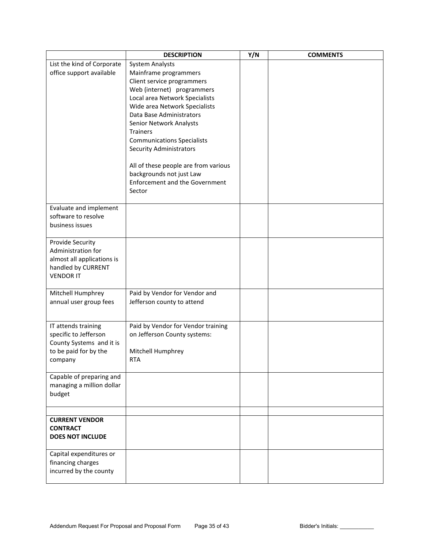|                                        | <b>DESCRIPTION</b>                    | Y/N | <b>COMMENTS</b> |
|----------------------------------------|---------------------------------------|-----|-----------------|
| List the kind of Corporate             | <b>System Analysts</b>                |     |                 |
| office support available               | Mainframe programmers                 |     |                 |
|                                        | Client service programmers            |     |                 |
|                                        | Web (internet) programmers            |     |                 |
|                                        | Local area Network Specialists        |     |                 |
|                                        | Wide area Network Specialists         |     |                 |
|                                        | Data Base Administrators              |     |                 |
|                                        | Senior Network Analysts               |     |                 |
|                                        | <b>Trainers</b>                       |     |                 |
|                                        | <b>Communications Specialists</b>     |     |                 |
|                                        | <b>Security Administrators</b>        |     |                 |
|                                        | All of these people are from various  |     |                 |
|                                        | backgrounds not just Law              |     |                 |
|                                        | <b>Enforcement and the Government</b> |     |                 |
|                                        | Sector                                |     |                 |
|                                        |                                       |     |                 |
| Evaluate and implement                 |                                       |     |                 |
| software to resolve                    |                                       |     |                 |
| business issues                        |                                       |     |                 |
|                                        |                                       |     |                 |
| Provide Security<br>Administration for |                                       |     |                 |
| almost all applications is             |                                       |     |                 |
| handled by CURRENT                     |                                       |     |                 |
| <b>VENDOR IT</b>                       |                                       |     |                 |
|                                        |                                       |     |                 |
| Mitchell Humphrey                      | Paid by Vendor for Vendor and         |     |                 |
| annual user group fees                 | Jefferson county to attend            |     |                 |
|                                        |                                       |     |                 |
| IT attends training                    | Paid by Vendor for Vendor training    |     |                 |
| specific to Jefferson                  | on Jefferson County systems:          |     |                 |
| County Systems and it is               |                                       |     |                 |
| to be paid for by the                  | Mitchell Humphrey                     |     |                 |
| company                                | <b>RTA</b>                            |     |                 |
|                                        |                                       |     |                 |
| Capable of preparing and               |                                       |     |                 |
| managing a million dollar              |                                       |     |                 |
| budget                                 |                                       |     |                 |
|                                        |                                       |     |                 |
| <b>CURRENT VENDOR</b>                  |                                       |     |                 |
| <b>CONTRACT</b>                        |                                       |     |                 |
| <b>DOES NOT INCLUDE</b>                |                                       |     |                 |
|                                        |                                       |     |                 |
| Capital expenditures or                |                                       |     |                 |
| financing charges                      |                                       |     |                 |
| incurred by the county                 |                                       |     |                 |
|                                        |                                       |     |                 |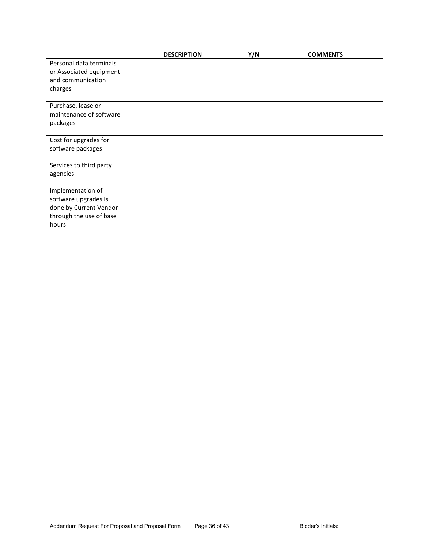|                         | <b>DESCRIPTION</b> | Y/N | <b>COMMENTS</b> |
|-------------------------|--------------------|-----|-----------------|
| Personal data terminals |                    |     |                 |
| or Associated equipment |                    |     |                 |
| and communication       |                    |     |                 |
| charges                 |                    |     |                 |
|                         |                    |     |                 |
| Purchase, lease or      |                    |     |                 |
| maintenance of software |                    |     |                 |
| packages                |                    |     |                 |
|                         |                    |     |                 |
| Cost for upgrades for   |                    |     |                 |
| software packages       |                    |     |                 |
|                         |                    |     |                 |
| Services to third party |                    |     |                 |
| agencies                |                    |     |                 |
| Implementation of       |                    |     |                 |
| software upgrades Is    |                    |     |                 |
| done by Current Vendor  |                    |     |                 |
| through the use of base |                    |     |                 |
| hours                   |                    |     |                 |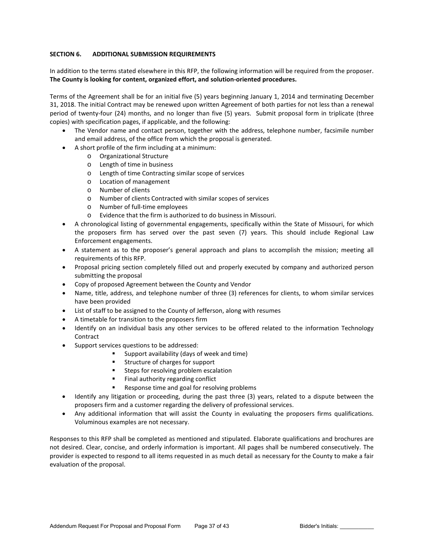## **SECTION 6. ADDITIONAL SUBMISSION REQUIREMENTS**

In addition to the terms stated elsewhere in this RFP, the following information will be required from the proposer. **The County is looking for content, organized effort, and solution-oriented procedures.**

Terms of the Agreement shall be for an initial five (5) years beginning January 1, 2014 and terminating December 31, 2018. The initial Contract may be renewed upon written Agreement of both parties for not less than a renewal period of twenty-four (24) months, and no longer than five (5) years. Submit proposal form in triplicate (three copies) with specification pages, if applicable, and the following:

- The Vendor name and contact person, together with the address, telephone number, facsimile number and email address, of the office from which the proposal is generated.
- A short profile of the firm including at a minimum:
	- o Organizational Structure
	- o Length of time in business
	- o Length of time Contracting similar scope of services
	- o Location of management<br>o Number of clients
	- Number of clients
	- o Number of clients Contracted with similar scopes of services
	- o Number of full-time employees
	- o Evidence that the firm is authorized to do business in Missouri.
- A chronological listing of governmental engagements, specifically within the State of Missouri, for which the proposers firm has served over the past seven (7) years. This should include Regional Law Enforcement engagements.
- A statement as to the proposer's general approach and plans to accomplish the mission; meeting all requirements of this RFP.
- Proposal pricing section completely filled out and properly executed by company and authorized person submitting the proposal
- Copy of proposed Agreement between the County and Vendor
- Name, title, address, and telephone number of three (3) references for clients, to whom similar services have been provided
- List of staff to be assigned to the County of Jefferson, along with resumes
- A timetable for transition to the proposers firm
- Identify on an individual basis any other services to be offered related to the information Technology Contract
- Support services questions to be addressed:
	- Support availability (days of week and time)
	- **EXECUTE:** Structure of charges for support
	- **EXECT:** Steps for resolving problem escalation
	- **Final authority regarding conflict**
	- Response time and goal for resolving problems
- Identify any litigation or proceeding, during the past three (3) years, related to a dispute between the proposers firm and a customer regarding the delivery of professional services.
- Any additional information that will assist the County in evaluating the proposers firms qualifications. Voluminous examples are not necessary.

Responses to this RFP shall be completed as mentioned and stipulated. Elaborate qualifications and brochures are not desired. Clear, concise, and orderly information is important. All pages shall be numbered consecutively. The provider is expected to respond to all items requested in as much detail as necessary for the County to make a fair evaluation of the proposal.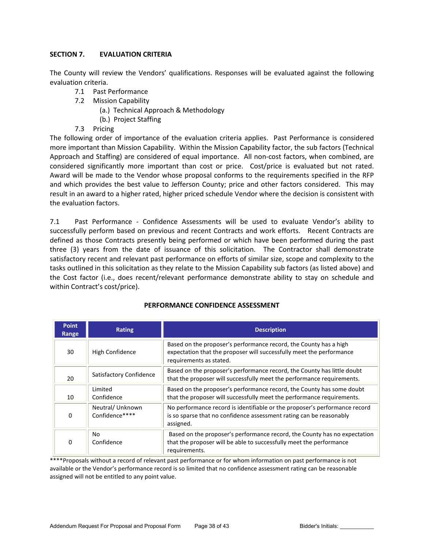# **SECTION 7. EVALUATION CRITERIA**

The County will review the Vendors' qualifications. Responses will be evaluated against the following evaluation criteria.

- 7.1 Past Performance
- 7.2 Mission Capability
	- (a.) Technical Approach & Methodology
	- (b.) Project Staffing
- 7.3 Pricing

The following order of importance of the evaluation criteria applies. Past Performance is considered more important than Mission Capability. Within the Mission Capability factor, the sub factors (Technical Approach and Staffing) are considered of equal importance. All non-cost factors, when combined, are considered significantly more important than cost or price. Cost/price is evaluated but not rated. Award will be made to the Vendor whose proposal conforms to the requirements specified in the RFP and which provides the best value to Jefferson County; price and other factors considered. This may result in an award to a higher rated, higher priced schedule Vendor where the decision is consistent with the evaluation factors.

7.1 Past Performance - Confidence Assessments will be used to evaluate Vendor's ability to successfully perform based on previous and recent Contracts and work efforts. Recent Contracts are defined as those Contracts presently being performed or which have been performed during the past three (3) years from the date of issuance of this solicitation. The Contractor shall demonstrate satisfactory recent and relevant past performance on efforts of similar size, scope and complexity to the tasks outlined in this solicitation as they relate to the Mission Capability sub factors (as listed above) and the Cost factor (i.e., does recent/relevant performance demonstrate ability to stay on schedule and within Contract's cost/price).

| <b>Point</b><br>Range | Rating                            | <b>Description</b>                                                                                                                                                   |  |  |
|-----------------------|-----------------------------------|----------------------------------------------------------------------------------------------------------------------------------------------------------------------|--|--|
| 30                    | High Confidence                   | Based on the proposer's performance record, the County has a high<br>expectation that the proposer will successfully meet the performance<br>requirements as stated. |  |  |
| 20                    | Satisfactory Confidence           | Based on the proposer's performance record, the County has little doubt<br>that the proposer will successfully meet the performance requirements.                    |  |  |
| 10                    | Limited<br>Confidence             | Based on the proposer's performance record, the County has some doubt<br>that the proposer will successfully meet the performance requirements.                      |  |  |
| 0                     | Neutral/Unknown<br>Confidence**** | No performance record is identifiable or the proposer's performance record<br>is so sparse that no confidence assessment rating can be reasonably<br>assigned.       |  |  |
| 0                     | No.<br>Confidence                 | Based on the proposer's performance record, the County has no expectation<br>that the proposer will be able to successfully meet the performance<br>requirements.    |  |  |

# **PERFORMANCE CONFIDENCE ASSESSMENT**

\*\*\*\*Proposals without a record of relevant past performance or for whom information on past performance is not available or the Vendor's performance record is so limited that no confidence assessment rating can be reasonable assigned will not be entitled to any point value.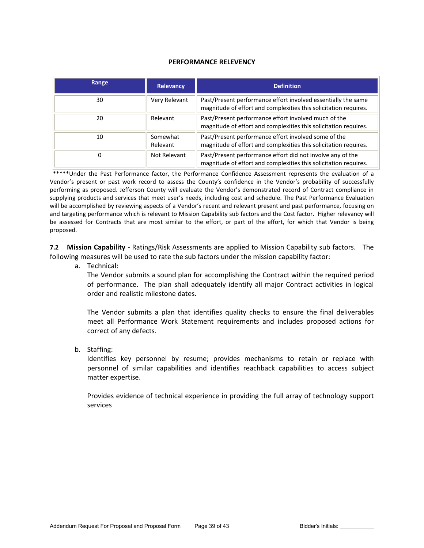## **PERFORMANCE RELEVENCY**

| Range | <b>Relevancy</b>     | <b>Definition</b>                                                                                                                 |
|-------|----------------------|-----------------------------------------------------------------------------------------------------------------------------------|
| 30    | Very Relevant        | Past/Present performance effort involved essentially the same<br>magnitude of effort and complexities this solicitation requires. |
| 20    | Relevant             | Past/Present performance effort involved much of the<br>magnitude of effort and complexities this solicitation requires.          |
| 10    | Somewhat<br>Relevant | Past/Present performance effort involved some of the<br>magnitude of effort and complexities this solicitation requires.          |
| 0     | Not Relevant         | Past/Present performance effort did not involve any of the<br>magnitude of effort and complexities this solicitation requires.    |

 \*\*\*\*\*Under the Past Performance factor, the Performance Confidence Assessment represents the evaluation of a Vendor's present or past work record to assess the County's confidence in the Vendor's probability of successfully performing as proposed. Jefferson County will evaluate the Vendor's demonstrated record of Contract compliance in supplying products and services that meet user's needs, including cost and schedule. The Past Performance Evaluation will be accomplished by reviewing aspects of a Vendor's recent and relevant present and past performance, focusing on and targeting performance which is relevant to Mission Capability sub factors and the Cost factor. Higher relevancy will be assessed for Contracts that are most similar to the effort, or part of the effort, for which that Vendor is being proposed.

**7.2 Mission Capability** - Ratings/Risk Assessments are applied to Mission Capability sub factors. The following measures will be used to rate the sub factors under the mission capability factor:

a. Technical:

The Vendor submits a sound plan for accomplishing the Contract within the required period of performance. The plan shall adequately identify all major Contract activities in logical order and realistic milestone dates.

The Vendor submits a plan that identifies quality checks to ensure the final deliverables meet all Performance Work Statement requirements and includes proposed actions for correct of any defects.

b. Staffing:

Identifies key personnel by resume; provides mechanisms to retain or replace with personnel of similar capabilities and identifies reachback capabilities to access subject matter expertise.

Provides evidence of technical experience in providing the full array of technology support services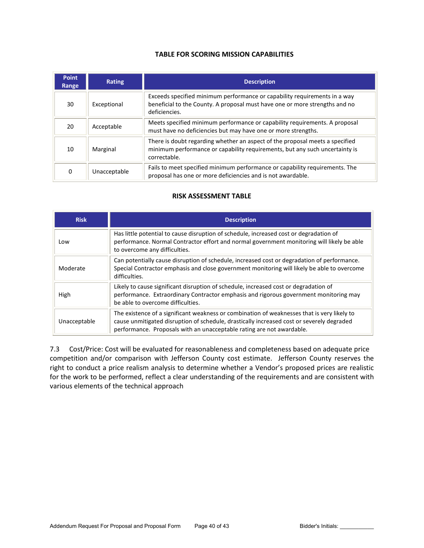# **TABLE FOR SCORING MISSION CAPABILITIES**

| <b>Point</b><br>Range | <b>Rating</b> | <b>Description</b>                                                                                                                                                          |  |
|-----------------------|---------------|-----------------------------------------------------------------------------------------------------------------------------------------------------------------------------|--|
| 30                    | Exceptional   | Exceeds specified minimum performance or capability requirements in a way<br>beneficial to the County. A proposal must have one or more strengths and no<br>deficiencies.   |  |
| 20                    | Acceptable    | Meets specified minimum performance or capability requirements. A proposal<br>must have no deficiencies but may have one or more strengths.                                 |  |
| 10                    | Marginal      | There is doubt regarding whether an aspect of the proposal meets a specified<br>minimum performance or capability requirements, but any such uncertainty is<br>correctable. |  |
| 0                     | Unacceptable  | Fails to meet specified minimum performance or capability requirements. The<br>proposal has one or more deficiencies and is not awardable.                                  |  |

# **RISK ASSESSMENT TABLE**

| <b>Risk</b>  | <b>Description</b>                                                                                                                                                                                                                                                |  |  |
|--------------|-------------------------------------------------------------------------------------------------------------------------------------------------------------------------------------------------------------------------------------------------------------------|--|--|
| Low          | Has little potential to cause disruption of schedule, increased cost or degradation of<br>performance. Normal Contractor effort and normal government monitoring will likely be able<br>to overcome any difficulties.                                             |  |  |
| Moderate     | Can potentially cause disruption of schedule, increased cost or degradation of performance.<br>Special Contractor emphasis and close government monitoring will likely be able to overcome<br>difficulties.                                                       |  |  |
| High         | Likely to cause significant disruption of schedule, increased cost or degradation of<br>performance. Extraordinary Contractor emphasis and rigorous government monitoring may<br>be able to overcome difficulties.                                                |  |  |
| Unacceptable | The existence of a significant weakness or combination of weaknesses that is very likely to<br>cause unmitigated disruption of schedule, drastically increased cost or severely degraded<br>performance. Proposals with an unacceptable rating are not awardable. |  |  |

7.3 Cost/Price: Cost will be evaluated for reasonableness and completeness based on adequate price competition and/or comparison with Jefferson County cost estimate. Jefferson County reserves the right to conduct a price realism analysis to determine whether a Vendor's proposed prices are realistic for the work to be performed, reflect a clear understanding of the requirements and are consistent with various elements of the technical approach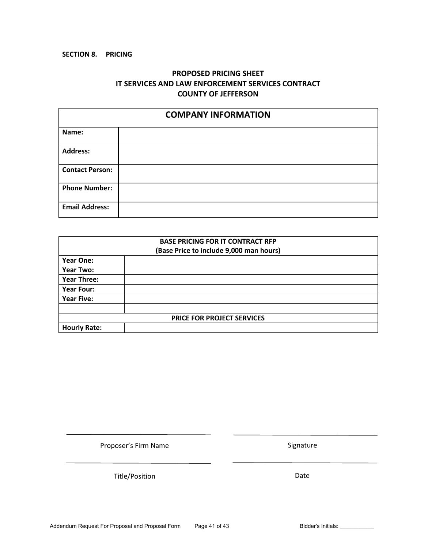# **SECTION 8. PRICING**

# **PROPOSED PRICING SHEET IT SERVICES AND LAW ENFORCEMENT SERVICES CONTRACT COUNTY OF JEFFERSON**

| <b>COMPANY INFORMATION</b> |  |  |
|----------------------------|--|--|
| Name:                      |  |  |
| <b>Address:</b>            |  |  |
| <b>Contact Person:</b>     |  |  |
| <b>Phone Number:</b>       |  |  |
| <b>Email Address:</b>      |  |  |

|                     | <b>BASE PRICING FOR IT CONTRACT RFP</b> |  |
|---------------------|-----------------------------------------|--|
|                     | (Base Price to include 9,000 man hours) |  |
| <b>Year One:</b>    |                                         |  |
| Year Two:           |                                         |  |
| <b>Year Three:</b>  |                                         |  |
| Year Four:          |                                         |  |
| <b>Year Five:</b>   |                                         |  |
|                     | PRICE FOR PROJECT SERVICES              |  |
|                     |                                         |  |
| <b>Hourly Rate:</b> |                                         |  |

Proposer's Firm Name

Title/Position

Date

Signature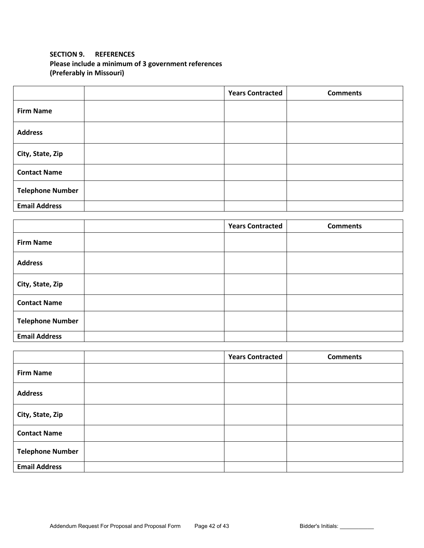# **SECTION 9. REFERENCES Please include a minimum of 3 government references (Preferably in Missouri)**

|                         | <b>Years Contracted</b> | <b>Comments</b> |
|-------------------------|-------------------------|-----------------|
| <b>Firm Name</b>        |                         |                 |
| <b>Address</b>          |                         |                 |
| City, State, Zip        |                         |                 |
| <b>Contact Name</b>     |                         |                 |
| <b>Telephone Number</b> |                         |                 |
| <b>Email Address</b>    |                         |                 |

|                         | <b>Years Contracted</b> | <b>Comments</b> |
|-------------------------|-------------------------|-----------------|
| <b>Firm Name</b>        |                         |                 |
| <b>Address</b>          |                         |                 |
| City, State, Zip        |                         |                 |
| <b>Contact Name</b>     |                         |                 |
| <b>Telephone Number</b> |                         |                 |
| <b>Email Address</b>    |                         |                 |

|                         | <b>Years Contracted</b> | <b>Comments</b> |
|-------------------------|-------------------------|-----------------|
| <b>Firm Name</b>        |                         |                 |
| <b>Address</b>          |                         |                 |
| City, State, Zip        |                         |                 |
| <b>Contact Name</b>     |                         |                 |
| <b>Telephone Number</b> |                         |                 |
| <b>Email Address</b>    |                         |                 |